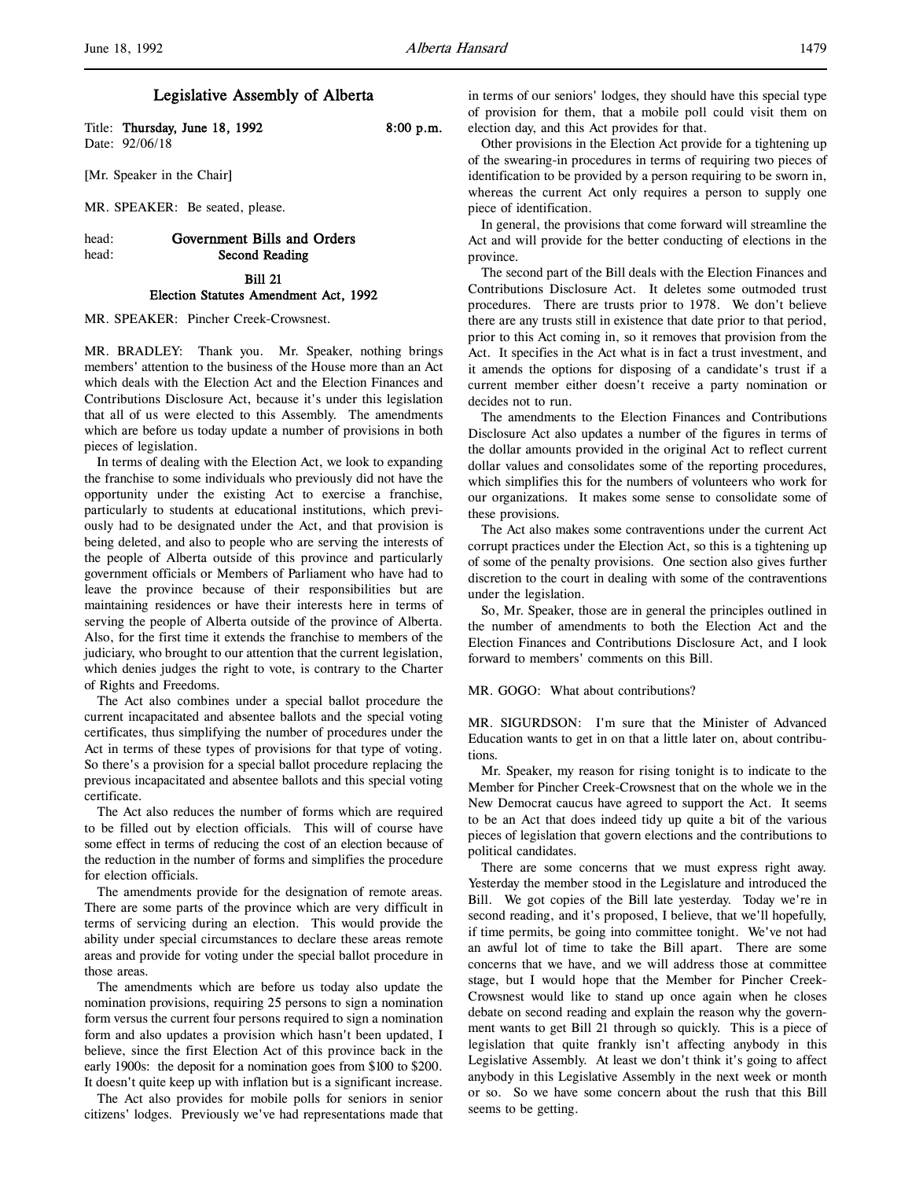Title: Thursday, June 18, 1992 8:00 p.m. Date: 92/06/18

[Mr. Speaker in the Chair]

MR. SPEAKER: Be seated, please.

## head: Government Bills and Orders head: Second Reading

### Bill 21 Election Statutes Amendment Act, 1992

MR. SPEAKER: Pincher Creek-Crowsnest.

MR. BRADLEY: Thank you. Mr. Speaker, nothing brings members' attention to the business of the House more than an Act which deals with the Election Act and the Election Finances and Contributions Disclosure Act, because it's under this legislation that all of us were elected to this Assembly. The amendments which are before us today update a number of provisions in both pieces of legislation.

In terms of dealing with the Election Act, we look to expanding the franchise to some individuals who previously did not have the opportunity under the existing Act to exercise a franchise, particularly to students at educational institutions, which previously had to be designated under the Act, and that provision is being deleted, and also to people who are serving the interests of the people of Alberta outside of this province and particularly government officials or Members of Parliament who have had to leave the province because of their responsibilities but are maintaining residences or have their interests here in terms of serving the people of Alberta outside of the province of Alberta. Also, for the first time it extends the franchise to members of the judiciary, who brought to our attention that the current legislation, which denies judges the right to vote, is contrary to the Charter of Rights and Freedoms.

The Act also combines under a special ballot procedure the current incapacitated and absentee ballots and the special voting certificates, thus simplifying the number of procedures under the Act in terms of these types of provisions for that type of voting. So there's a provision for a special ballot procedure replacing the previous incapacitated and absentee ballots and this special voting certificate.

The Act also reduces the number of forms which are required to be filled out by election officials. This will of course have some effect in terms of reducing the cost of an election because of the reduction in the number of forms and simplifies the procedure for election officials.

The amendments provide for the designation of remote areas. There are some parts of the province which are very difficult in terms of servicing during an election. This would provide the ability under special circumstances to declare these areas remote areas and provide for voting under the special ballot procedure in those areas.

The amendments which are before us today also update the nomination provisions, requiring 25 persons to sign a nomination form versus the current four persons required to sign a nomination form and also updates a provision which hasn't been updated, I believe, since the first Election Act of this province back in the early 1900s: the deposit for a nomination goes from \$100 to \$200. It doesn't quite keep up with inflation but is a significant increase.

The Act also provides for mobile polls for seniors in senior citizens' lodges. Previously we've had representations made that in terms of our seniors' lodges, they should have this special type of provision for them, that a mobile poll could visit them on election day, and this Act provides for that.

Other provisions in the Election Act provide for a tightening up of the swearing-in procedures in terms of requiring two pieces of identification to be provided by a person requiring to be sworn in, whereas the current Act only requires a person to supply one piece of identification.

In general, the provisions that come forward will streamline the Act and will provide for the better conducting of elections in the province.

The second part of the Bill deals with the Election Finances and Contributions Disclosure Act. It deletes some outmoded trust procedures. There are trusts prior to 1978. We don't believe there are any trusts still in existence that date prior to that period, prior to this Act coming in, so it removes that provision from the Act. It specifies in the Act what is in fact a trust investment, and it amends the options for disposing of a candidate's trust if a current member either doesn't receive a party nomination or decides not to run.

The amendments to the Election Finances and Contributions Disclosure Act also updates a number of the figures in terms of the dollar amounts provided in the original Act to reflect current dollar values and consolidates some of the reporting procedures, which simplifies this for the numbers of volunteers who work for our organizations. It makes some sense to consolidate some of these provisions.

The Act also makes some contraventions under the current Act corrupt practices under the Election Act, so this is a tightening up of some of the penalty provisions. One section also gives further discretion to the court in dealing with some of the contraventions under the legislation.

So, Mr. Speaker, those are in general the principles outlined in the number of amendments to both the Election Act and the Election Finances and Contributions Disclosure Act, and I look forward to members' comments on this Bill.

MR. GOGO: What about contributions?

MR. SIGURDSON: I'm sure that the Minister of Advanced Education wants to get in on that a little later on, about contributions.

Mr. Speaker, my reason for rising tonight is to indicate to the Member for Pincher Creek-Crowsnest that on the whole we in the New Democrat caucus have agreed to support the Act. It seems to be an Act that does indeed tidy up quite a bit of the various pieces of legislation that govern elections and the contributions to political candidates.

There are some concerns that we must express right away. Yesterday the member stood in the Legislature and introduced the Bill. We got copies of the Bill late yesterday. Today we're in second reading, and it's proposed, I believe, that we'll hopefully, if time permits, be going into committee tonight. We've not had an awful lot of time to take the Bill apart. There are some concerns that we have, and we will address those at committee stage, but I would hope that the Member for Pincher Creek-Crowsnest would like to stand up once again when he closes debate on second reading and explain the reason why the government wants to get Bill 21 through so quickly. This is a piece of legislation that quite frankly isn't affecting anybody in this Legislative Assembly. At least we don't think it's going to affect anybody in this Legislative Assembly in the next week or month or so. So we have some concern about the rush that this Bill seems to be getting.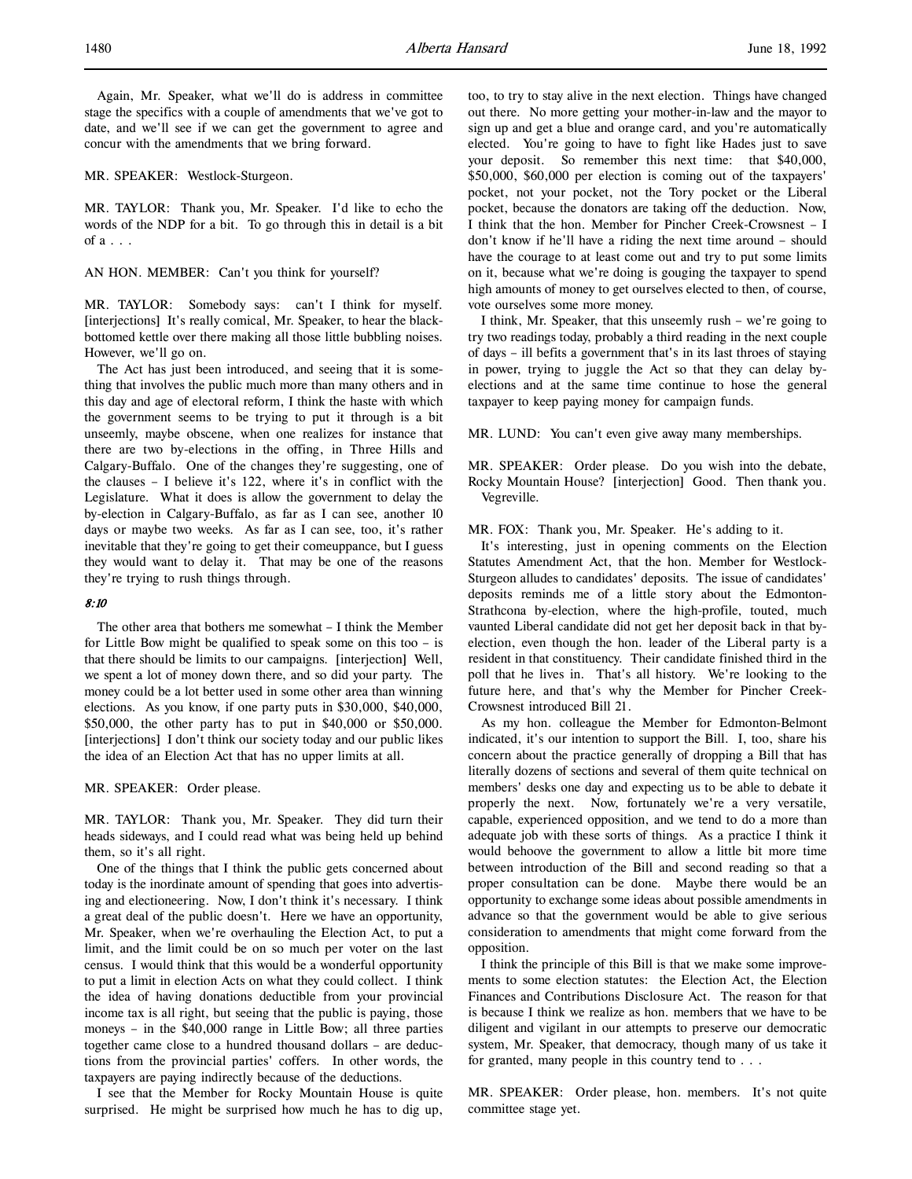Again, Mr. Speaker, what we'll do is address in committee stage the specifics with a couple of amendments that we've got to date, and we'll see if we can get the government to agree and concur with the amendments that we bring forward.

MR. SPEAKER: Westlock-Sturgeon.

MR. TAYLOR: Thank you, Mr. Speaker. I'd like to echo the words of the NDP for a bit. To go through this in detail is a bit of  $a \ldots$ 

AN HON. MEMBER: Can't you think for yourself?

MR. TAYLOR: Somebody says: can't I think for myself. [interjections] It's really comical, Mr. Speaker, to hear the blackbottomed kettle over there making all those little bubbling noises. However, we'll go on.

The Act has just been introduced, and seeing that it is something that involves the public much more than many others and in this day and age of electoral reform, I think the haste with which the government seems to be trying to put it through is a bit unseemly, maybe obscene, when one realizes for instance that there are two by-elections in the offing, in Three Hills and Calgary-Buffalo. One of the changes they're suggesting, one of the clauses – I believe it's 122, where it's in conflict with the Legislature. What it does is allow the government to delay the by-election in Calgary-Buffalo, as far as I can see, another 10 days or maybe two weeks. As far as I can see, too, it's rather inevitable that they're going to get their comeuppance, but I guess they would want to delay it. That may be one of the reasons they're trying to rush things through.

#### 8:10

The other area that bothers me somewhat – I think the Member for Little Bow might be qualified to speak some on this too – is that there should be limits to our campaigns. [interjection] Well, we spent a lot of money down there, and so did your party. The money could be a lot better used in some other area than winning elections. As you know, if one party puts in \$30,000, \$40,000, \$50,000, the other party has to put in \$40,000 or \$50,000. [interjections] I don't think our society today and our public likes the idea of an Election Act that has no upper limits at all.

#### MR. SPEAKER: Order please.

MR. TAYLOR: Thank you, Mr. Speaker. They did turn their heads sideways, and I could read what was being held up behind them, so it's all right.

One of the things that I think the public gets concerned about today is the inordinate amount of spending that goes into advertising and electioneering. Now, I don't think it's necessary. I think a great deal of the public doesn't. Here we have an opportunity, Mr. Speaker, when we're overhauling the Election Act, to put a limit, and the limit could be on so much per voter on the last census. I would think that this would be a wonderful opportunity to put a limit in election Acts on what they could collect. I think the idea of having donations deductible from your provincial income tax is all right, but seeing that the public is paying, those moneys – in the \$40,000 range in Little Bow; all three parties together came close to a hundred thousand dollars – are deductions from the provincial parties' coffers. In other words, the taxpayers are paying indirectly because of the deductions.

I see that the Member for Rocky Mountain House is quite surprised. He might be surprised how much he has to dig up,

too, to try to stay alive in the next election. Things have changed out there. No more getting your mother-in-law and the mayor to sign up and get a blue and orange card, and you're automatically elected. You're going to have to fight like Hades just to save your deposit. So remember this next time: that \$40,000, \$50,000, \$60,000 per election is coming out of the taxpayers' pocket, not your pocket, not the Tory pocket or the Liberal pocket, because the donators are taking off the deduction. Now, I think that the hon. Member for Pincher Creek-Crowsnest – I don't know if he'll have a riding the next time around – should have the courage to at least come out and try to put some limits on it, because what we're doing is gouging the taxpayer to spend high amounts of money to get ourselves elected to then, of course, vote ourselves some more money.

I think, Mr. Speaker, that this unseemly rush – we're going to try two readings today, probably a third reading in the next couple of days – ill befits a government that's in its last throes of staying in power, trying to juggle the Act so that they can delay byelections and at the same time continue to hose the general taxpayer to keep paying money for campaign funds.

MR. LUND: You can't even give away many memberships.

MR. SPEAKER: Order please. Do you wish into the debate, Rocky Mountain House? [interjection] Good. Then thank you. Vegreville.

MR. FOX: Thank you, Mr. Speaker. He's adding to it.

It's interesting, just in opening comments on the Election Statutes Amendment Act, that the hon. Member for Westlock-Sturgeon alludes to candidates' deposits. The issue of candidates' deposits reminds me of a little story about the Edmonton-Strathcona by-election, where the high-profile, touted, much vaunted Liberal candidate did not get her deposit back in that byelection, even though the hon. leader of the Liberal party is a resident in that constituency. Their candidate finished third in the poll that he lives in. That's all history. We're looking to the future here, and that's why the Member for Pincher Creek-Crowsnest introduced Bill 21.

As my hon. colleague the Member for Edmonton-Belmont indicated, it's our intention to support the Bill. I, too, share his concern about the practice generally of dropping a Bill that has literally dozens of sections and several of them quite technical on members' desks one day and expecting us to be able to debate it properly the next. Now, fortunately we're a very versatile, capable, experienced opposition, and we tend to do a more than adequate job with these sorts of things. As a practice I think it would behoove the government to allow a little bit more time between introduction of the Bill and second reading so that a proper consultation can be done. Maybe there would be an opportunity to exchange some ideas about possible amendments in advance so that the government would be able to give serious consideration to amendments that might come forward from the opposition.

I think the principle of this Bill is that we make some improvements to some election statutes: the Election Act, the Election Finances and Contributions Disclosure Act. The reason for that is because I think we realize as hon. members that we have to be diligent and vigilant in our attempts to preserve our democratic system, Mr. Speaker, that democracy, though many of us take it for granted, many people in this country tend to . . .

MR. SPEAKER: Order please, hon. members. It's not quite committee stage yet.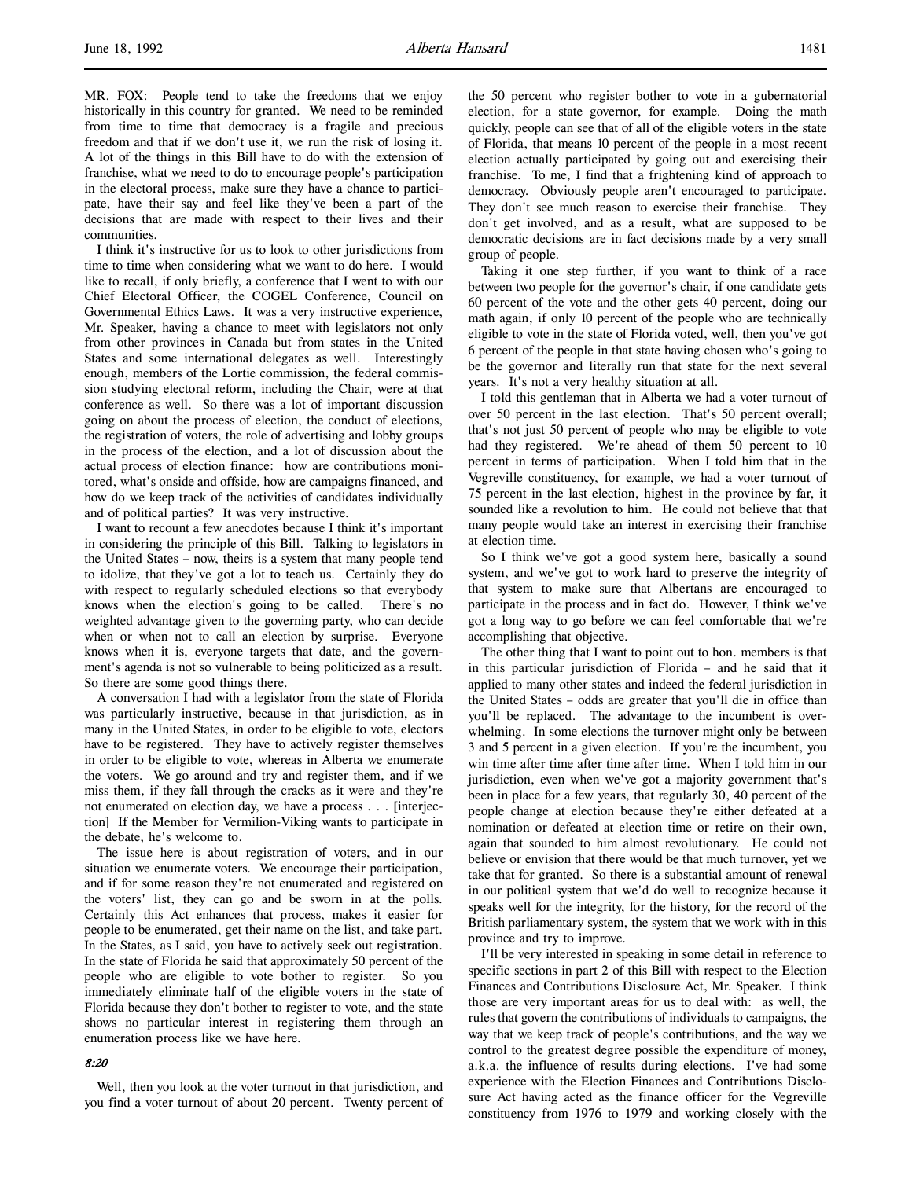MR. FOX: People tend to take the freedoms that we enjoy historically in this country for granted. We need to be reminded from time to time that democracy is a fragile and precious freedom and that if we don't use it, we run the risk of losing it. A lot of the things in this Bill have to do with the extension of franchise, what we need to do to encourage people's participation in the electoral process, make sure they have a chance to participate, have their say and feel like they've been a part of the decisions that are made with respect to their lives and their communities.

I think it's instructive for us to look to other jurisdictions from time to time when considering what we want to do here. I would like to recall, if only briefly, a conference that I went to with our Chief Electoral Officer, the COGEL Conference, Council on Governmental Ethics Laws. It was a very instructive experience, Mr. Speaker, having a chance to meet with legislators not only from other provinces in Canada but from states in the United States and some international delegates as well. Interestingly enough, members of the Lortie commission, the federal commission studying electoral reform, including the Chair, were at that conference as well. So there was a lot of important discussion going on about the process of election, the conduct of elections, the registration of voters, the role of advertising and lobby groups in the process of the election, and a lot of discussion about the actual process of election finance: how are contributions monitored, what's onside and offside, how are campaigns financed, and how do we keep track of the activities of candidates individually and of political parties? It was very instructive.

I want to recount a few anecdotes because I think it's important in considering the principle of this Bill. Talking to legislators in the United States – now, theirs is a system that many people tend to idolize, that they've got a lot to teach us. Certainly they do with respect to regularly scheduled elections so that everybody knows when the election's going to be called. There's no weighted advantage given to the governing party, who can decide when or when not to call an election by surprise. Everyone knows when it is, everyone targets that date, and the government's agenda is not so vulnerable to being politicized as a result. So there are some good things there.

A conversation I had with a legislator from the state of Florida was particularly instructive, because in that jurisdiction, as in many in the United States, in order to be eligible to vote, electors have to be registered. They have to actively register themselves in order to be eligible to vote, whereas in Alberta we enumerate the voters. We go around and try and register them, and if we miss them, if they fall through the cracks as it were and they're not enumerated on election day, we have a process . . . [interjection] If the Member for Vermilion-Viking wants to participate in the debate, he's welcome to.

The issue here is about registration of voters, and in our situation we enumerate voters. We encourage their participation, and if for some reason they're not enumerated and registered on the voters' list, they can go and be sworn in at the polls. Certainly this Act enhances that process, makes it easier for people to be enumerated, get their name on the list, and take part. In the States, as I said, you have to actively seek out registration. In the state of Florida he said that approximately 50 percent of the people who are eligible to vote bother to register. So you immediately eliminate half of the eligible voters in the state of Florida because they don't bother to register to vote, and the state shows no particular interest in registering them through an enumeration process like we have here.

#### 8:20

Well, then you look at the voter turnout in that jurisdiction, and you find a voter turnout of about 20 percent. Twenty percent of the 50 percent who register bother to vote in a gubernatorial election, for a state governor, for example. Doing the math quickly, people can see that of all of the eligible voters in the state of Florida, that means 10 percent of the people in a most recent election actually participated by going out and exercising their franchise. To me, I find that a frightening kind of approach to democracy. Obviously people aren't encouraged to participate. They don't see much reason to exercise their franchise. They don't get involved, and as a result, what are supposed to be democratic decisions are in fact decisions made by a very small group of people.

Taking it one step further, if you want to think of a race between two people for the governor's chair, if one candidate gets 60 percent of the vote and the other gets 40 percent, doing our math again, if only 10 percent of the people who are technically eligible to vote in the state of Florida voted, well, then you've got 6 percent of the people in that state having chosen who's going to be the governor and literally run that state for the next several years. It's not a very healthy situation at all.

I told this gentleman that in Alberta we had a voter turnout of over 50 percent in the last election. That's 50 percent overall; that's not just 50 percent of people who may be eligible to vote had they registered. We're ahead of them 50 percent to 10 percent in terms of participation. When I told him that in the Vegreville constituency, for example, we had a voter turnout of 75 percent in the last election, highest in the province by far, it sounded like a revolution to him. He could not believe that that many people would take an interest in exercising their franchise at election time.

So I think we've got a good system here, basically a sound system, and we've got to work hard to preserve the integrity of that system to make sure that Albertans are encouraged to participate in the process and in fact do. However, I think we've got a long way to go before we can feel comfortable that we're accomplishing that objective.

The other thing that I want to point out to hon. members is that in this particular jurisdiction of Florida – and he said that it applied to many other states and indeed the federal jurisdiction in the United States – odds are greater that you'll die in office than you'll be replaced. The advantage to the incumbent is overwhelming. In some elections the turnover might only be between 3 and 5 percent in a given election. If you're the incumbent, you win time after time after time after time. When I told him in our jurisdiction, even when we've got a majority government that's been in place for a few years, that regularly 30, 40 percent of the people change at election because they're either defeated at a nomination or defeated at election time or retire on their own, again that sounded to him almost revolutionary. He could not believe or envision that there would be that much turnover, yet we take that for granted. So there is a substantial amount of renewal in our political system that we'd do well to recognize because it speaks well for the integrity, for the history, for the record of the British parliamentary system, the system that we work with in this province and try to improve.

I'll be very interested in speaking in some detail in reference to specific sections in part 2 of this Bill with respect to the Election Finances and Contributions Disclosure Act, Mr. Speaker. I think those are very important areas for us to deal with: as well, the rules that govern the contributions of individuals to campaigns, the way that we keep track of people's contributions, and the way we control to the greatest degree possible the expenditure of money, a.k.a. the influence of results during elections. I've had some experience with the Election Finances and Contributions Disclosure Act having acted as the finance officer for the Vegreville constituency from 1976 to 1979 and working closely with the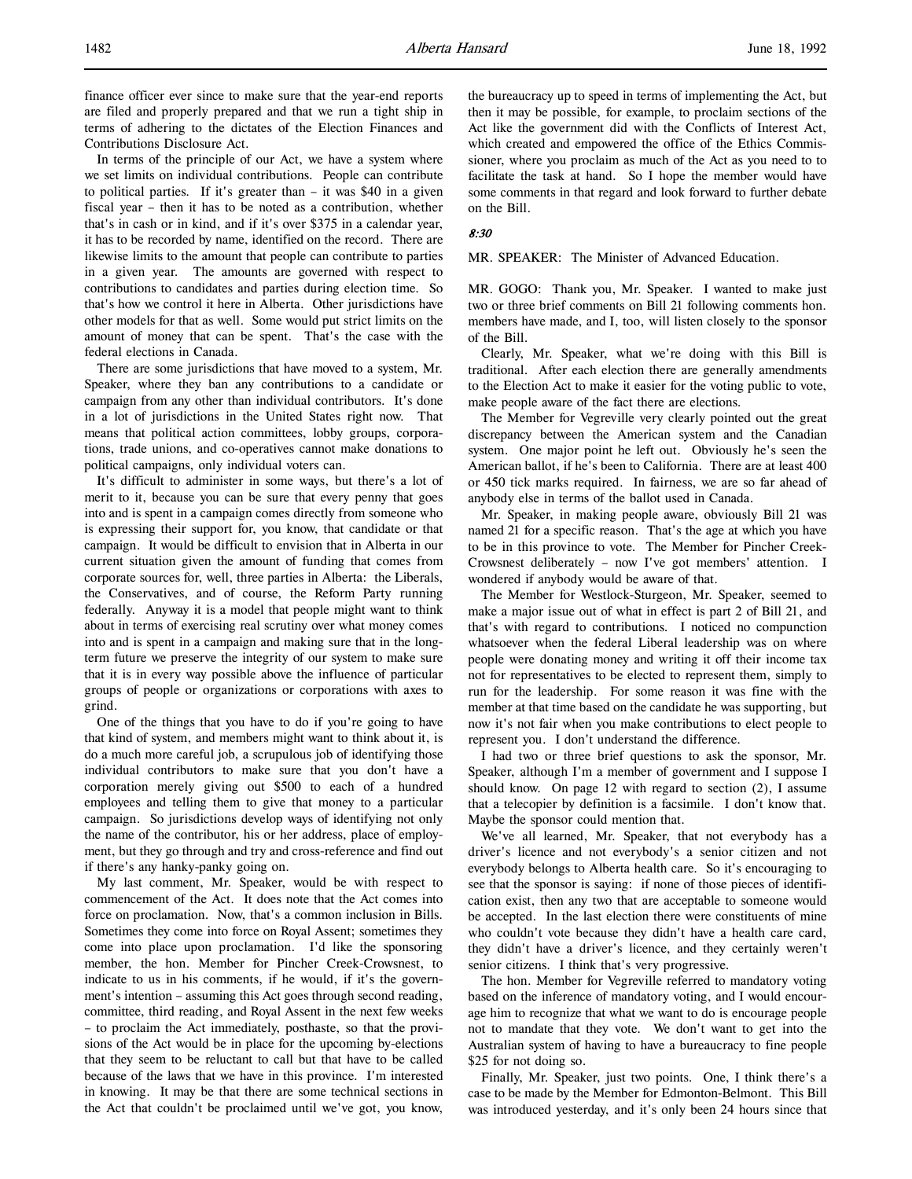In terms of the principle of our Act, we have a system where we set limits on individual contributions. People can contribute to political parties. If it's greater than – it was \$40 in a given fiscal year – then it has to be noted as a contribution, whether that's in cash or in kind, and if it's over \$375 in a calendar year, it has to be recorded by name, identified on the record. There are likewise limits to the amount that people can contribute to parties in a given year. The amounts are governed with respect to contributions to candidates and parties during election time. So that's how we control it here in Alberta. Other jurisdictions have other models for that as well. Some would put strict limits on the amount of money that can be spent. That's the case with the federal elections in Canada.

There are some jurisdictions that have moved to a system, Mr. Speaker, where they ban any contributions to a candidate or campaign from any other than individual contributors. It's done in a lot of jurisdictions in the United States right now. That means that political action committees, lobby groups, corporations, trade unions, and co-operatives cannot make donations to political campaigns, only individual voters can.

It's difficult to administer in some ways, but there's a lot of merit to it, because you can be sure that every penny that goes into and is spent in a campaign comes directly from someone who is expressing their support for, you know, that candidate or that campaign. It would be difficult to envision that in Alberta in our current situation given the amount of funding that comes from corporate sources for, well, three parties in Alberta: the Liberals, the Conservatives, and of course, the Reform Party running federally. Anyway it is a model that people might want to think about in terms of exercising real scrutiny over what money comes into and is spent in a campaign and making sure that in the longterm future we preserve the integrity of our system to make sure that it is in every way possible above the influence of particular groups of people or organizations or corporations with axes to grind.

One of the things that you have to do if you're going to have that kind of system, and members might want to think about it, is do a much more careful job, a scrupulous job of identifying those individual contributors to make sure that you don't have a corporation merely giving out \$500 to each of a hundred employees and telling them to give that money to a particular campaign. So jurisdictions develop ways of identifying not only the name of the contributor, his or her address, place of employment, but they go through and try and cross-reference and find out if there's any hanky-panky going on.

My last comment, Mr. Speaker, would be with respect to commencement of the Act. It does note that the Act comes into force on proclamation. Now, that's a common inclusion in Bills. Sometimes they come into force on Royal Assent; sometimes they come into place upon proclamation. I'd like the sponsoring member, the hon. Member for Pincher Creek-Crowsnest, to indicate to us in his comments, if he would, if it's the government's intention – assuming this Act goes through second reading, committee, third reading, and Royal Assent in the next few weeks – to proclaim the Act immediately, posthaste, so that the provisions of the Act would be in place for the upcoming by-elections that they seem to be reluctant to call but that have to be called because of the laws that we have in this province. I'm interested in knowing. It may be that there are some technical sections in the Act that couldn't be proclaimed until we've got, you know,

the bureaucracy up to speed in terms of implementing the Act, but then it may be possible, for example, to proclaim sections of the Act like the government did with the Conflicts of Interest Act, which created and empowered the office of the Ethics Commissioner, where you proclaim as much of the Act as you need to to facilitate the task at hand. So I hope the member would have some comments in that regard and look forward to further debate on the Bill.

### 8:30

MR. SPEAKER: The Minister of Advanced Education.

MR. GOGO: Thank you, Mr. Speaker. I wanted to make just two or three brief comments on Bill 21 following comments hon. members have made, and I, too, will listen closely to the sponsor of the Bill.

Clearly, Mr. Speaker, what we're doing with this Bill is traditional. After each election there are generally amendments to the Election Act to make it easier for the voting public to vote, make people aware of the fact there are elections.

The Member for Vegreville very clearly pointed out the great discrepancy between the American system and the Canadian system. One major point he left out. Obviously he's seen the American ballot, if he's been to California. There are at least 400 or 450 tick marks required. In fairness, we are so far ahead of anybody else in terms of the ballot used in Canada.

Mr. Speaker, in making people aware, obviously Bill 21 was named 21 for a specific reason. That's the age at which you have to be in this province to vote. The Member for Pincher Creek-Crowsnest deliberately – now I've got members' attention. I wondered if anybody would be aware of that.

The Member for Westlock-Sturgeon, Mr. Speaker, seemed to make a major issue out of what in effect is part 2 of Bill 21, and that's with regard to contributions. I noticed no compunction whatsoever when the federal Liberal leadership was on where people were donating money and writing it off their income tax not for representatives to be elected to represent them, simply to run for the leadership. For some reason it was fine with the member at that time based on the candidate he was supporting, but now it's not fair when you make contributions to elect people to represent you. I don't understand the difference.

I had two or three brief questions to ask the sponsor, Mr. Speaker, although I'm a member of government and I suppose I should know. On page 12 with regard to section (2), I assume that a telecopier by definition is a facsimile. I don't know that. Maybe the sponsor could mention that.

We've all learned, Mr. Speaker, that not everybody has a driver's licence and not everybody's a senior citizen and not everybody belongs to Alberta health care. So it's encouraging to see that the sponsor is saying: if none of those pieces of identification exist, then any two that are acceptable to someone would be accepted. In the last election there were constituents of mine who couldn't vote because they didn't have a health care card, they didn't have a driver's licence, and they certainly weren't senior citizens. I think that's very progressive.

The hon. Member for Vegreville referred to mandatory voting based on the inference of mandatory voting, and I would encourage him to recognize that what we want to do is encourage people not to mandate that they vote. We don't want to get into the Australian system of having to have a bureaucracy to fine people \$25 for not doing so.

Finally, Mr. Speaker, just two points. One, I think there's a case to be made by the Member for Edmonton-Belmont. This Bill was introduced yesterday, and it's only been 24 hours since that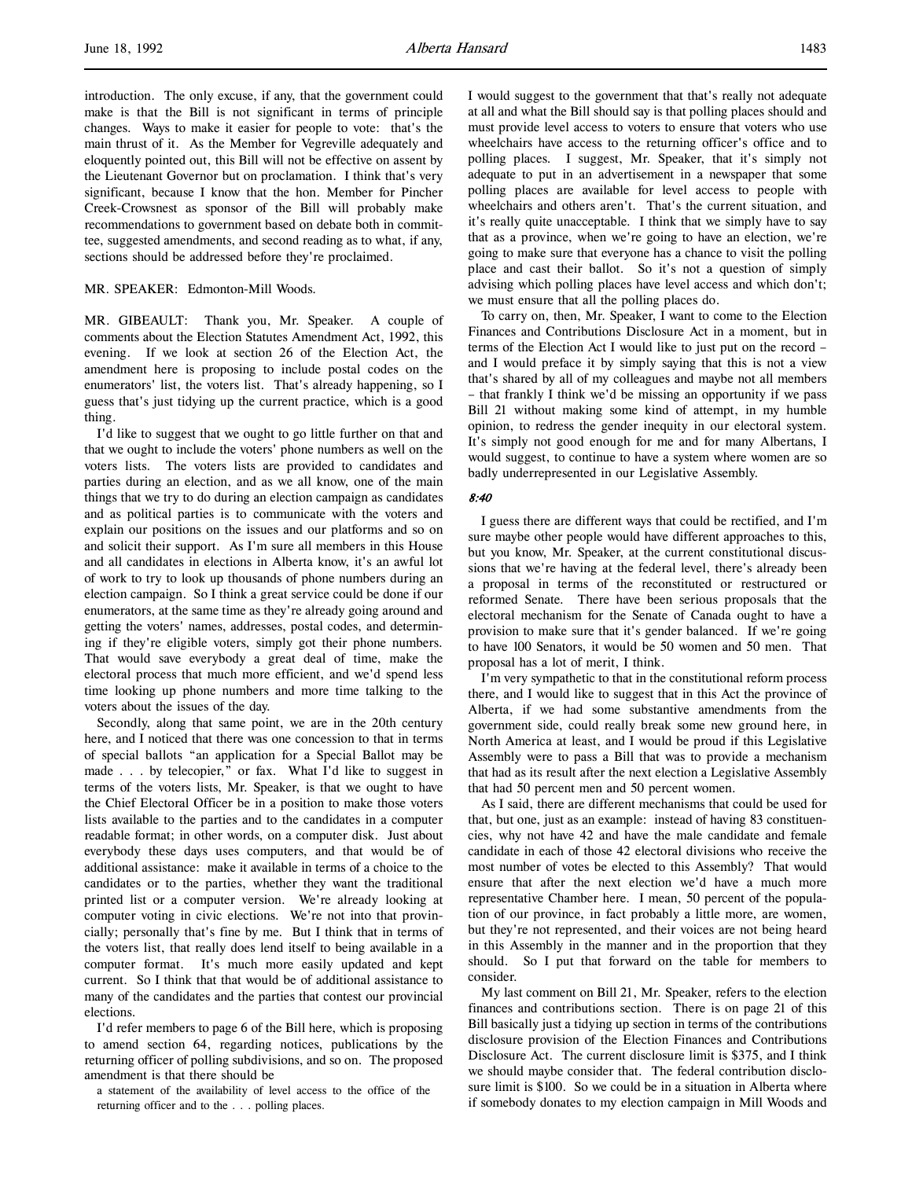introduction. The only excuse, if any, that the government could make is that the Bill is not significant in terms of principle changes. Ways to make it easier for people to vote: that's the main thrust of it. As the Member for Vegreville adequately and eloquently pointed out, this Bill will not be effective on assent by the Lieutenant Governor but on proclamation. I think that's very significant, because I know that the hon. Member for Pincher Creek-Crowsnest as sponsor of the Bill will probably make recommendations to government based on debate both in committee, suggested amendments, and second reading as to what, if any, sections should be addressed before they're proclaimed.

#### MR. SPEAKER: Edmonton-Mill Woods.

MR. GIBEAULT: Thank you, Mr. Speaker. A couple of comments about the Election Statutes Amendment Act, 1992, this evening. If we look at section 26 of the Election Act, the amendment here is proposing to include postal codes on the enumerators' list, the voters list. That's already happening, so I guess that's just tidying up the current practice, which is a good thing.

I'd like to suggest that we ought to go little further on that and that we ought to include the voters' phone numbers as well on the voters lists. The voters lists are provided to candidates and parties during an election, and as we all know, one of the main things that we try to do during an election campaign as candidates and as political parties is to communicate with the voters and explain our positions on the issues and our platforms and so on and solicit their support. As I'm sure all members in this House and all candidates in elections in Alberta know, it's an awful lot of work to try to look up thousands of phone numbers during an election campaign. So I think a great service could be done if our enumerators, at the same time as they're already going around and getting the voters' names, addresses, postal codes, and determining if they're eligible voters, simply got their phone numbers. That would save everybody a great deal of time, make the electoral process that much more efficient, and we'd spend less time looking up phone numbers and more time talking to the voters about the issues of the day.

Secondly, along that same point, we are in the 20th century here, and I noticed that there was one concession to that in terms of special ballots "an application for a Special Ballot may be made . . . by telecopier," or fax. What I'd like to suggest in terms of the voters lists, Mr. Speaker, is that we ought to have the Chief Electoral Officer be in a position to make those voters lists available to the parties and to the candidates in a computer readable format; in other words, on a computer disk. Just about everybody these days uses computers, and that would be of additional assistance: make it available in terms of a choice to the candidates or to the parties, whether they want the traditional printed list or a computer version. We're already looking at computer voting in civic elections. We're not into that provincially; personally that's fine by me. But I think that in terms of the voters list, that really does lend itself to being available in a computer format. It's much more easily updated and kept current. So I think that that would be of additional assistance to many of the candidates and the parties that contest our provincial elections.

I'd refer members to page 6 of the Bill here, which is proposing to amend section 64, regarding notices, publications by the returning officer of polling subdivisions, and so on. The proposed amendment is that there should be

a statement of the availability of level access to the office of the returning officer and to the . . . polling places.

I would suggest to the government that that's really not adequate at all and what the Bill should say is that polling places should and must provide level access to voters to ensure that voters who use wheelchairs have access to the returning officer's office and to polling places. I suggest, Mr. Speaker, that it's simply not adequate to put in an advertisement in a newspaper that some polling places are available for level access to people with wheelchairs and others aren't. That's the current situation, and it's really quite unacceptable. I think that we simply have to say that as a province, when we're going to have an election, we're going to make sure that everyone has a chance to visit the polling place and cast their ballot. So it's not a question of simply advising which polling places have level access and which don't; we must ensure that all the polling places do.

To carry on, then, Mr. Speaker, I want to come to the Election Finances and Contributions Disclosure Act in a moment, but in terms of the Election Act I would like to just put on the record – and I would preface it by simply saying that this is not a view that's shared by all of my colleagues and maybe not all members – that frankly I think we'd be missing an opportunity if we pass Bill 21 without making some kind of attempt, in my humble opinion, to redress the gender inequity in our electoral system. It's simply not good enough for me and for many Albertans, I would suggest, to continue to have a system where women are so badly underrepresented in our Legislative Assembly.

#### 8:40

I guess there are different ways that could be rectified, and I'm sure maybe other people would have different approaches to this, but you know, Mr. Speaker, at the current constitutional discussions that we're having at the federal level, there's already been a proposal in terms of the reconstituted or restructured or reformed Senate. There have been serious proposals that the electoral mechanism for the Senate of Canada ought to have a provision to make sure that it's gender balanced. If we're going to have 100 Senators, it would be 50 women and 50 men. That proposal has a lot of merit, I think.

I'm very sympathetic to that in the constitutional reform process there, and I would like to suggest that in this Act the province of Alberta, if we had some substantive amendments from the government side, could really break some new ground here, in North America at least, and I would be proud if this Legislative Assembly were to pass a Bill that was to provide a mechanism that had as its result after the next election a Legislative Assembly that had 50 percent men and 50 percent women.

As I said, there are different mechanisms that could be used for that, but one, just as an example: instead of having 83 constituencies, why not have 42 and have the male candidate and female candidate in each of those 42 electoral divisions who receive the most number of votes be elected to this Assembly? That would ensure that after the next election we'd have a much more representative Chamber here. I mean, 50 percent of the population of our province, in fact probably a little more, are women, but they're not represented, and their voices are not being heard in this Assembly in the manner and in the proportion that they should. So I put that forward on the table for members to consider.

My last comment on Bill 21, Mr. Speaker, refers to the election finances and contributions section. There is on page 21 of this Bill basically just a tidying up section in terms of the contributions disclosure provision of the Election Finances and Contributions Disclosure Act. The current disclosure limit is \$375, and I think we should maybe consider that. The federal contribution disclosure limit is \$100. So we could be in a situation in Alberta where if somebody donates to my election campaign in Mill Woods and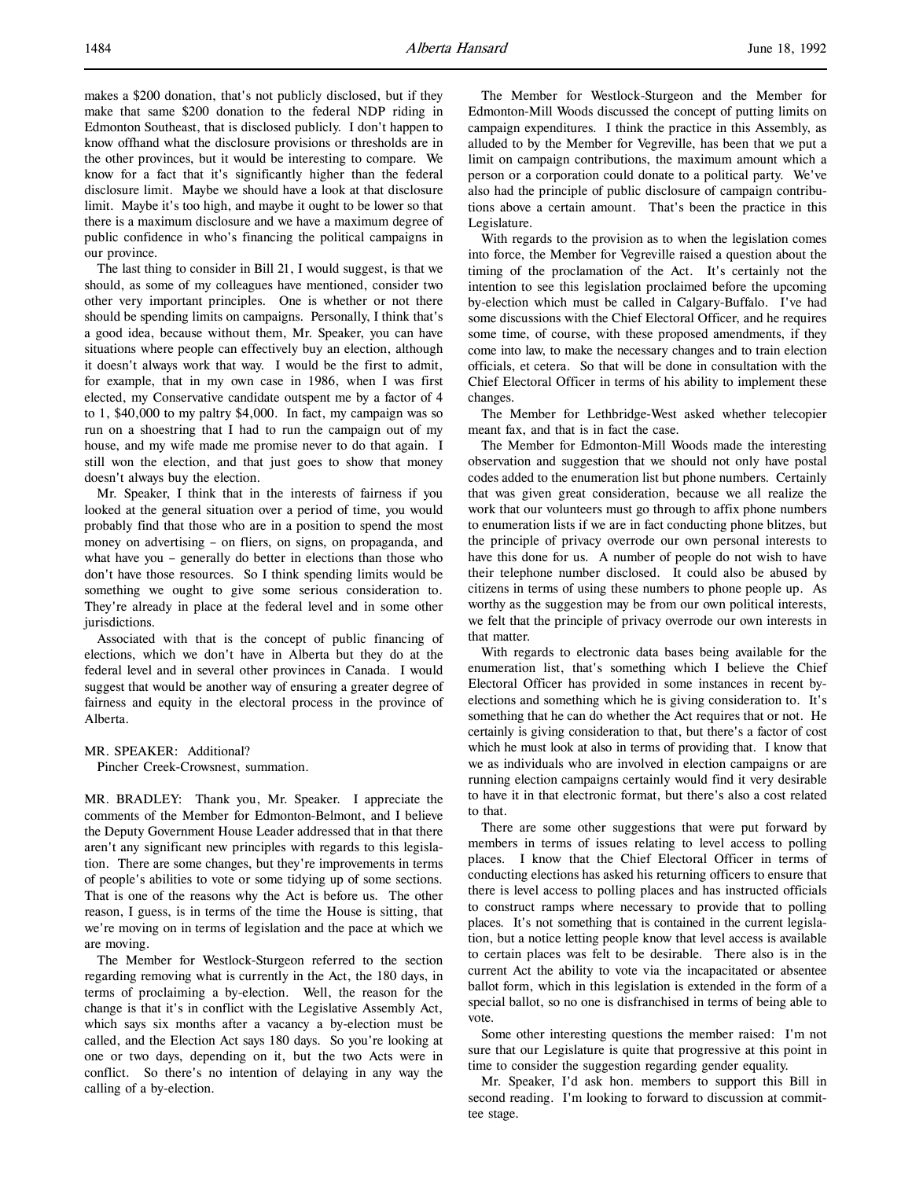makes a \$200 donation, that's not publicly disclosed, but if they make that same \$200 donation to the federal NDP riding in Edmonton Southeast, that is disclosed publicly. I don't happen to know offhand what the disclosure provisions or thresholds are in the other provinces, but it would be interesting to compare. We know for a fact that it's significantly higher than the federal disclosure limit. Maybe we should have a look at that disclosure limit. Maybe it's too high, and maybe it ought to be lower so that there is a maximum disclosure and we have a maximum degree of public confidence in who's financing the political campaigns in our province.

The last thing to consider in Bill 21, I would suggest, is that we should, as some of my colleagues have mentioned, consider two other very important principles. One is whether or not there should be spending limits on campaigns. Personally, I think that's a good idea, because without them, Mr. Speaker, you can have situations where people can effectively buy an election, although it doesn't always work that way. I would be the first to admit, for example, that in my own case in 1986, when I was first elected, my Conservative candidate outspent me by a factor of 4 to 1, \$40,000 to my paltry \$4,000. In fact, my campaign was so run on a shoestring that I had to run the campaign out of my house, and my wife made me promise never to do that again. I still won the election, and that just goes to show that money doesn't always buy the election.

Mr. Speaker, I think that in the interests of fairness if you looked at the general situation over a period of time, you would probably find that those who are in a position to spend the most money on advertising – on fliers, on signs, on propaganda, and what have you – generally do better in elections than those who don't have those resources. So I think spending limits would be something we ought to give some serious consideration to. They're already in place at the federal level and in some other jurisdictions.

Associated with that is the concept of public financing of elections, which we don't have in Alberta but they do at the federal level and in several other provinces in Canada. I would suggest that would be another way of ensuring a greater degree of fairness and equity in the electoral process in the province of Alberta.

MR. SPEAKER: Additional? Pincher Creek-Crowsnest, summation.

MR. BRADLEY: Thank you, Mr. Speaker. I appreciate the comments of the Member for Edmonton-Belmont, and I believe the Deputy Government House Leader addressed that in that there aren't any significant new principles with regards to this legislation. There are some changes, but they're improvements in terms of people's abilities to vote or some tidying up of some sections. That is one of the reasons why the Act is before us. The other reason, I guess, is in terms of the time the House is sitting, that we're moving on in terms of legislation and the pace at which we are moving.

The Member for Westlock-Sturgeon referred to the section regarding removing what is currently in the Act, the 180 days, in terms of proclaiming a by-election. Well, the reason for the change is that it's in conflict with the Legislative Assembly Act, which says six months after a vacancy a by-election must be called, and the Election Act says 180 days. So you're looking at one or two days, depending on it, but the two Acts were in conflict. So there's no intention of delaying in any way the calling of a by-election.

The Member for Westlock-Sturgeon and the Member for Edmonton-Mill Woods discussed the concept of putting limits on campaign expenditures. I think the practice in this Assembly, as alluded to by the Member for Vegreville, has been that we put a limit on campaign contributions, the maximum amount which a person or a corporation could donate to a political party. We've also had the principle of public disclosure of campaign contributions above a certain amount. That's been the practice in this Legislature.

With regards to the provision as to when the legislation comes into force, the Member for Vegreville raised a question about the timing of the proclamation of the Act. It's certainly not the intention to see this legislation proclaimed before the upcoming by-election which must be called in Calgary-Buffalo. I've had some discussions with the Chief Electoral Officer, and he requires some time, of course, with these proposed amendments, if they come into law, to make the necessary changes and to train election officials, et cetera. So that will be done in consultation with the Chief Electoral Officer in terms of his ability to implement these changes.

The Member for Lethbridge-West asked whether telecopier meant fax, and that is in fact the case.

The Member for Edmonton-Mill Woods made the interesting observation and suggestion that we should not only have postal codes added to the enumeration list but phone numbers. Certainly that was given great consideration, because we all realize the work that our volunteers must go through to affix phone numbers to enumeration lists if we are in fact conducting phone blitzes, but the principle of privacy overrode our own personal interests to have this done for us. A number of people do not wish to have their telephone number disclosed. It could also be abused by citizens in terms of using these numbers to phone people up. As worthy as the suggestion may be from our own political interests, we felt that the principle of privacy overrode our own interests in that matter.

With regards to electronic data bases being available for the enumeration list, that's something which I believe the Chief Electoral Officer has provided in some instances in recent byelections and something which he is giving consideration to. It's something that he can do whether the Act requires that or not. He certainly is giving consideration to that, but there's a factor of cost which he must look at also in terms of providing that. I know that we as individuals who are involved in election campaigns or are running election campaigns certainly would find it very desirable to have it in that electronic format, but there's also a cost related to that.

There are some other suggestions that were put forward by members in terms of issues relating to level access to polling places. I know that the Chief Electoral Officer in terms of conducting elections has asked his returning officers to ensure that there is level access to polling places and has instructed officials to construct ramps where necessary to provide that to polling places. It's not something that is contained in the current legislation, but a notice letting people know that level access is available to certain places was felt to be desirable. There also is in the current Act the ability to vote via the incapacitated or absentee ballot form, which in this legislation is extended in the form of a special ballot, so no one is disfranchised in terms of being able to vote.

Some other interesting questions the member raised: I'm not sure that our Legislature is quite that progressive at this point in time to consider the suggestion regarding gender equality.

Mr. Speaker, I'd ask hon. members to support this Bill in second reading. I'm looking to forward to discussion at committee stage.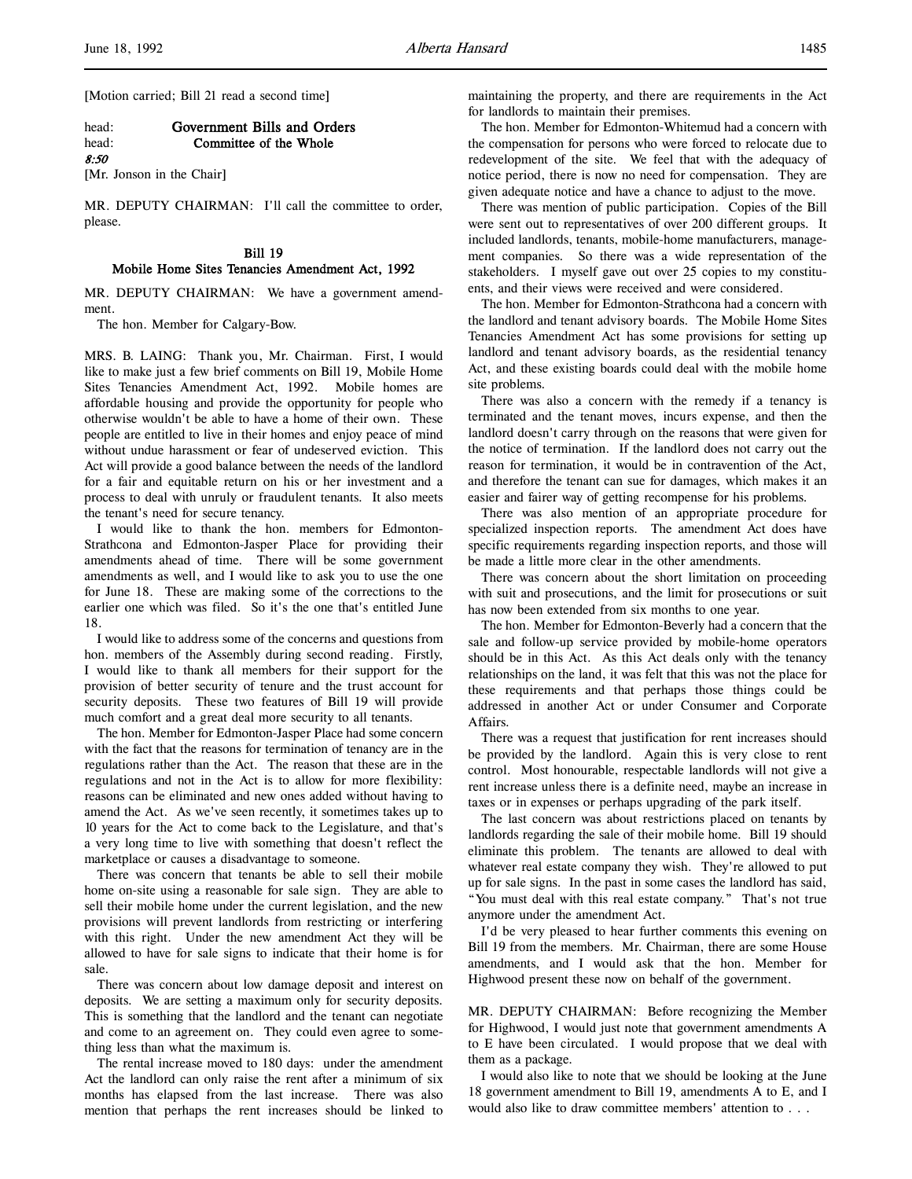[Motion carried; Bill 21 read a second time]

#### head: Government Bills and Orders head: Committee of the Whole

8:50

[Mr. Jonson in the Chair]

MR. DEPUTY CHAIRMAN: I'll call the committee to order, please.

## Bill 19 Mobile Home Sites Tenancies Amendment Act, 1992

MR. DEPUTY CHAIRMAN: We have a government amendment.

The hon. Member for Calgary-Bow.

MRS. B. LAING: Thank you, Mr. Chairman. First, I would like to make just a few brief comments on Bill 19, Mobile Home Sites Tenancies Amendment Act, 1992. Mobile homes are affordable housing and provide the opportunity for people who otherwise wouldn't be able to have a home of their own. These people are entitled to live in their homes and enjoy peace of mind without undue harassment or fear of undeserved eviction. This Act will provide a good balance between the needs of the landlord for a fair and equitable return on his or her investment and a process to deal with unruly or fraudulent tenants. It also meets the tenant's need for secure tenancy.

I would like to thank the hon. members for Edmonton-Strathcona and Edmonton-Jasper Place for providing their amendments ahead of time. There will be some government amendments as well, and I would like to ask you to use the one for June 18. These are making some of the corrections to the earlier one which was filed. So it's the one that's entitled June 18.

I would like to address some of the concerns and questions from hon. members of the Assembly during second reading. Firstly, I would like to thank all members for their support for the provision of better security of tenure and the trust account for security deposits. These two features of Bill 19 will provide much comfort and a great deal more security to all tenants.

The hon. Member for Edmonton-Jasper Place had some concern with the fact that the reasons for termination of tenancy are in the regulations rather than the Act. The reason that these are in the regulations and not in the Act is to allow for more flexibility: reasons can be eliminated and new ones added without having to amend the Act. As we've seen recently, it sometimes takes up to 10 years for the Act to come back to the Legislature, and that's a very long time to live with something that doesn't reflect the marketplace or causes a disadvantage to someone.

There was concern that tenants be able to sell their mobile home on-site using a reasonable for sale sign. They are able to sell their mobile home under the current legislation, and the new provisions will prevent landlords from restricting or interfering with this right. Under the new amendment Act they will be allowed to have for sale signs to indicate that their home is for sale.

There was concern about low damage deposit and interest on deposits. We are setting a maximum only for security deposits. This is something that the landlord and the tenant can negotiate and come to an agreement on. They could even agree to something less than what the maximum is.

The rental increase moved to 180 days: under the amendment Act the landlord can only raise the rent after a minimum of six months has elapsed from the last increase. There was also mention that perhaps the rent increases should be linked to

maintaining the property, and there are requirements in the Act for landlords to maintain their premises.

The hon. Member for Edmonton-Whitemud had a concern with the compensation for persons who were forced to relocate due to redevelopment of the site. We feel that with the adequacy of notice period, there is now no need for compensation. They are given adequate notice and have a chance to adjust to the move.

There was mention of public participation. Copies of the Bill were sent out to representatives of over 200 different groups. It included landlords, tenants, mobile-home manufacturers, management companies. So there was a wide representation of the stakeholders. I myself gave out over 25 copies to my constituents, and their views were received and were considered.

The hon. Member for Edmonton-Strathcona had a concern with the landlord and tenant advisory boards. The Mobile Home Sites Tenancies Amendment Act has some provisions for setting up landlord and tenant advisory boards, as the residential tenancy Act, and these existing boards could deal with the mobile home site problems.

There was also a concern with the remedy if a tenancy is terminated and the tenant moves, incurs expense, and then the landlord doesn't carry through on the reasons that were given for the notice of termination. If the landlord does not carry out the reason for termination, it would be in contravention of the Act, and therefore the tenant can sue for damages, which makes it an easier and fairer way of getting recompense for his problems.

There was also mention of an appropriate procedure for specialized inspection reports. The amendment Act does have specific requirements regarding inspection reports, and those will be made a little more clear in the other amendments.

There was concern about the short limitation on proceeding with suit and prosecutions, and the limit for prosecutions or suit has now been extended from six months to one year.

The hon. Member for Edmonton-Beverly had a concern that the sale and follow-up service provided by mobile-home operators should be in this Act. As this Act deals only with the tenancy relationships on the land, it was felt that this was not the place for these requirements and that perhaps those things could be addressed in another Act or under Consumer and Corporate Affairs.

There was a request that justification for rent increases should be provided by the landlord. Again this is very close to rent control. Most honourable, respectable landlords will not give a rent increase unless there is a definite need, maybe an increase in taxes or in expenses or perhaps upgrading of the park itself.

The last concern was about restrictions placed on tenants by landlords regarding the sale of their mobile home. Bill 19 should eliminate this problem. The tenants are allowed to deal with whatever real estate company they wish. They're allowed to put up for sale signs. In the past in some cases the landlord has said, "You must deal with this real estate company." That's not true anymore under the amendment Act.

I'd be very pleased to hear further comments this evening on Bill 19 from the members. Mr. Chairman, there are some House amendments, and I would ask that the hon. Member for Highwood present these now on behalf of the government.

MR. DEPUTY CHAIRMAN: Before recognizing the Member for Highwood, I would just note that government amendments A to E have been circulated. I would propose that we deal with them as a package.

I would also like to note that we should be looking at the June 18 government amendment to Bill 19, amendments A to E, and I would also like to draw committee members' attention to . . .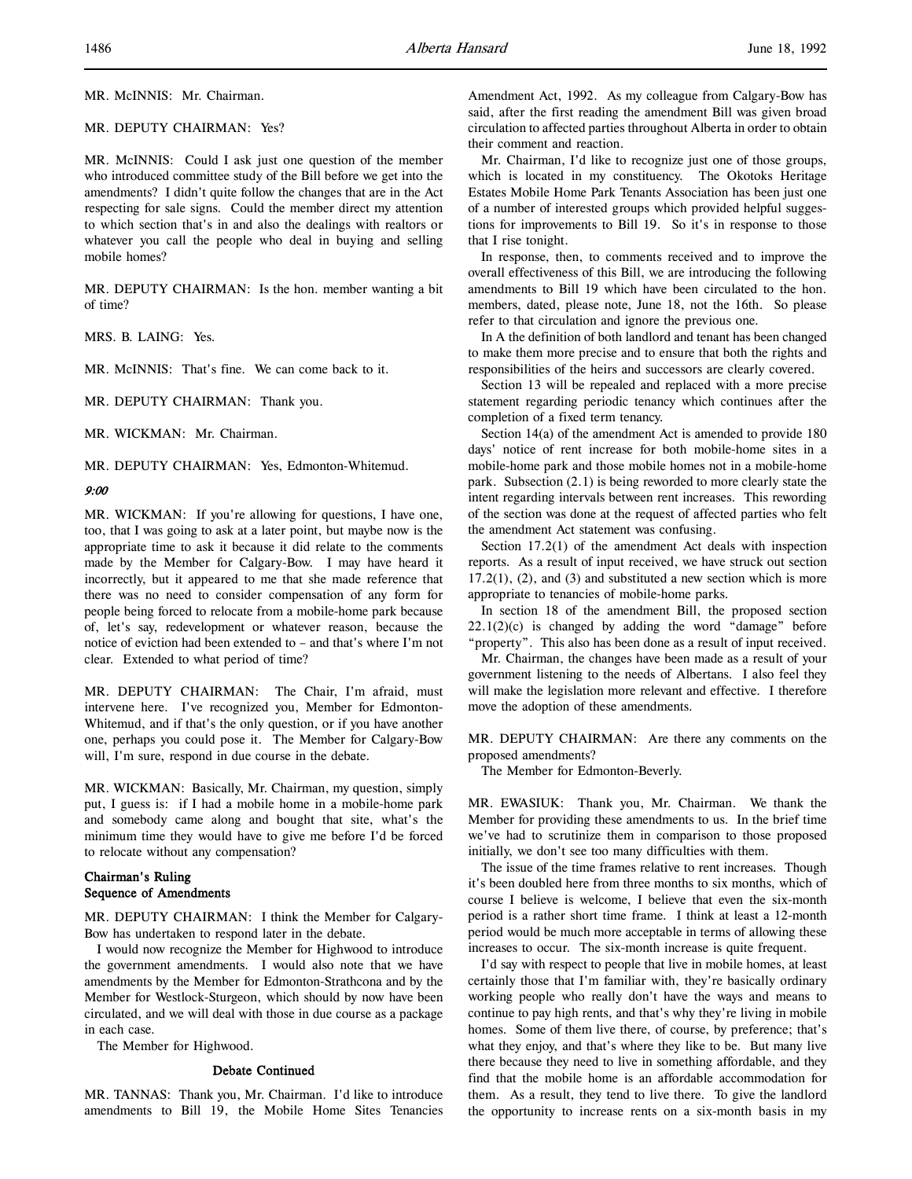MR. DEPUTY CHAIRMAN: Yes?

MR. McINNIS: Could I ask just one question of the member who introduced committee study of the Bill before we get into the amendments? I didn't quite follow the changes that are in the Act respecting for sale signs. Could the member direct my attention to which section that's in and also the dealings with realtors or whatever you call the people who deal in buying and selling mobile homes?

MR. DEPUTY CHAIRMAN: Is the hon. member wanting a bit of time?

MRS. B. LAING: Yes.

MR. McINNIS: That's fine. We can come back to it.

MR. DEPUTY CHAIRMAN: Thank you.

MR. WICKMAN: Mr. Chairman.

MR. DEPUTY CHAIRMAN: Yes, Edmonton-Whitemud.

## 9:00

MR. WICKMAN: If you're allowing for questions, I have one, too, that I was going to ask at a later point, but maybe now is the appropriate time to ask it because it did relate to the comments made by the Member for Calgary-Bow. I may have heard it incorrectly, but it appeared to me that she made reference that there was no need to consider compensation of any form for people being forced to relocate from a mobile-home park because of, let's say, redevelopment or whatever reason, because the notice of eviction had been extended to – and that's where I'm not clear. Extended to what period of time?

MR. DEPUTY CHAIRMAN: The Chair, I'm afraid, must intervene here. I've recognized you, Member for Edmonton-Whitemud, and if that's the only question, or if you have another one, perhaps you could pose it. The Member for Calgary-Bow will, I'm sure, respond in due course in the debate.

MR. WICKMAN: Basically, Mr. Chairman, my question, simply put, I guess is: if I had a mobile home in a mobile-home park and somebody came along and bought that site, what's the minimum time they would have to give me before I'd be forced to relocate without any compensation?

## Chairman's Ruling Sequence of Amendments

MR. DEPUTY CHAIRMAN: I think the Member for Calgary-Bow has undertaken to respond later in the debate.

I would now recognize the Member for Highwood to introduce the government amendments. I would also note that we have amendments by the Member for Edmonton-Strathcona and by the Member for Westlock-Sturgeon, which should by now have been circulated, and we will deal with those in due course as a package in each case.

The Member for Highwood.

### Debate Continued

MR. TANNAS: Thank you, Mr. Chairman. I'd like to introduce amendments to Bill 19, the Mobile Home Sites Tenancies

Amendment Act, 1992. As my colleague from Calgary-Bow has said, after the first reading the amendment Bill was given broad circulation to affected parties throughout Alberta in order to obtain their comment and reaction.

Mr. Chairman, I'd like to recognize just one of those groups, which is located in my constituency. The Okotoks Heritage Estates Mobile Home Park Tenants Association has been just one of a number of interested groups which provided helpful suggestions for improvements to Bill 19. So it's in response to those that I rise tonight.

In response, then, to comments received and to improve the overall effectiveness of this Bill, we are introducing the following amendments to Bill 19 which have been circulated to the hon. members, dated, please note, June 18, not the 16th. So please refer to that circulation and ignore the previous one.

In A the definition of both landlord and tenant has been changed to make them more precise and to ensure that both the rights and responsibilities of the heirs and successors are clearly covered.

Section 13 will be repealed and replaced with a more precise statement regarding periodic tenancy which continues after the completion of a fixed term tenancy.

Section 14(a) of the amendment Act is amended to provide 180 days' notice of rent increase for both mobile-home sites in a mobile-home park and those mobile homes not in a mobile-home park. Subsection (2.1) is being reworded to more clearly state the intent regarding intervals between rent increases. This rewording of the section was done at the request of affected parties who felt the amendment Act statement was confusing.

Section 17.2(1) of the amendment Act deals with inspection reports. As a result of input received, we have struck out section  $17.2(1)$ ,  $(2)$ , and  $(3)$  and substituted a new section which is more appropriate to tenancies of mobile-home parks.

In section 18 of the amendment Bill, the proposed section  $22.1(2)(c)$  is changed by adding the word "damage" before "property". This also has been done as a result of input received.

Mr. Chairman, the changes have been made as a result of your government listening to the needs of Albertans. I also feel they will make the legislation more relevant and effective. I therefore move the adoption of these amendments.

MR. DEPUTY CHAIRMAN: Are there any comments on the proposed amendments?

The Member for Edmonton-Beverly.

MR. EWASIUK: Thank you, Mr. Chairman. We thank the Member for providing these amendments to us. In the brief time we've had to scrutinize them in comparison to those proposed initially, we don't see too many difficulties with them.

The issue of the time frames relative to rent increases. Though it's been doubled here from three months to six months, which of course I believe is welcome, I believe that even the six-month period is a rather short time frame. I think at least a 12-month period would be much more acceptable in terms of allowing these increases to occur. The six-month increase is quite frequent.

I'd say with respect to people that live in mobile homes, at least certainly those that I'm familiar with, they're basically ordinary working people who really don't have the ways and means to continue to pay high rents, and that's why they're living in mobile homes. Some of them live there, of course, by preference; that's what they enjoy, and that's where they like to be. But many live there because they need to live in something affordable, and they find that the mobile home is an affordable accommodation for them. As a result, they tend to live there. To give the landlord the opportunity to increase rents on a six-month basis in my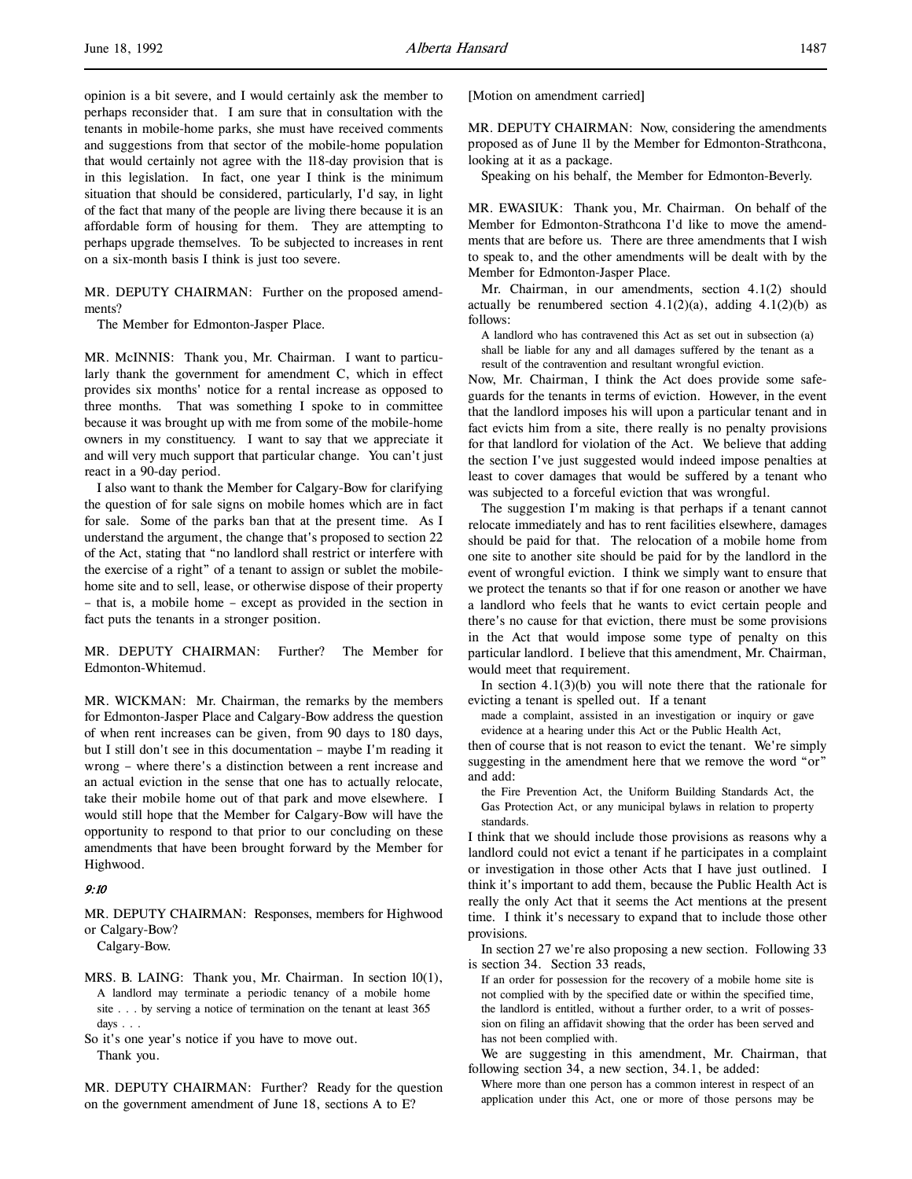opinion is a bit severe, and I would certainly ask the member to perhaps reconsider that. I am sure that in consultation with the tenants in mobile-home parks, she must have received comments and suggestions from that sector of the mobile-home population that would certainly not agree with the 118-day provision that is in this legislation. In fact, one year I think is the minimum situation that should be considered, particularly, I'd say, in light of the fact that many of the people are living there because it is an affordable form of housing for them. They are attempting to perhaps upgrade themselves. To be subjected to increases in rent on a six-month basis I think is just too severe.

MR. DEPUTY CHAIRMAN: Further on the proposed amendments?

The Member for Edmonton-Jasper Place.

MR. McINNIS: Thank you, Mr. Chairman. I want to particularly thank the government for amendment C, which in effect provides six months' notice for a rental increase as opposed to three months. That was something I spoke to in committee because it was brought up with me from some of the mobile-home owners in my constituency. I want to say that we appreciate it and will very much support that particular change. You can't just react in a 90-day period.

I also want to thank the Member for Calgary-Bow for clarifying the question of for sale signs on mobile homes which are in fact for sale. Some of the parks ban that at the present time. As I understand the argument, the change that's proposed to section 22 of the Act, stating that "no landlord shall restrict or interfere with the exercise of a right" of a tenant to assign or sublet the mobilehome site and to sell, lease, or otherwise dispose of their property – that is, a mobile home – except as provided in the section in fact puts the tenants in a stronger position.

MR. DEPUTY CHAIRMAN: Further? The Member for Edmonton-Whitemud.

MR. WICKMAN: Mr. Chairman, the remarks by the members for Edmonton-Jasper Place and Calgary-Bow address the question of when rent increases can be given, from 90 days to 180 days, but I still don't see in this documentation – maybe I'm reading it wrong – where there's a distinction between a rent increase and an actual eviction in the sense that one has to actually relocate, take their mobile home out of that park and move elsewhere. I would still hope that the Member for Calgary-Bow will have the opportunity to respond to that prior to our concluding on these amendments that have been brought forward by the Member for Highwood.

#### 9:10

MR. DEPUTY CHAIRMAN: Responses, members for Highwood or Calgary-Bow?

Calgary-Bow.

MRS. B. LAING: Thank you, Mr. Chairman. In section 10(1), A landlord may terminate a periodic tenancy of a mobile home site . . . by serving a notice of termination on the tenant at least 365 days . . .

So it's one year's notice if you have to move out. Thank you.

MR. DEPUTY CHAIRMAN: Further? Ready for the question on the government amendment of June 18, sections A to E?

[Motion on amendment carried]

MR. DEPUTY CHAIRMAN: Now, considering the amendments proposed as of June 11 by the Member for Edmonton-Strathcona, looking at it as a package.

Speaking on his behalf, the Member for Edmonton-Beverly.

MR. EWASIUK: Thank you, Mr. Chairman. On behalf of the Member for Edmonton-Strathcona I'd like to move the amendments that are before us. There are three amendments that I wish to speak to, and the other amendments will be dealt with by the Member for Edmonton-Jasper Place.

Mr. Chairman, in our amendments, section 4.1(2) should actually be renumbered section  $4.1(2)(a)$ , adding  $4.1(2)(b)$  as follows:

A landlord who has contravened this Act as set out in subsection (a) shall be liable for any and all damages suffered by the tenant as a result of the contravention and resultant wrongful eviction.

Now, Mr. Chairman, I think the Act does provide some safeguards for the tenants in terms of eviction. However, in the event that the landlord imposes his will upon a particular tenant and in fact evicts him from a site, there really is no penalty provisions for that landlord for violation of the Act. We believe that adding the section I've just suggested would indeed impose penalties at least to cover damages that would be suffered by a tenant who was subjected to a forceful eviction that was wrongful.

The suggestion I'm making is that perhaps if a tenant cannot relocate immediately and has to rent facilities elsewhere, damages should be paid for that. The relocation of a mobile home from one site to another site should be paid for by the landlord in the event of wrongful eviction. I think we simply want to ensure that we protect the tenants so that if for one reason or another we have a landlord who feels that he wants to evict certain people and there's no cause for that eviction, there must be some provisions in the Act that would impose some type of penalty on this particular landlord. I believe that this amendment, Mr. Chairman, would meet that requirement.

In section  $4.1(3)(b)$  you will note there that the rationale for evicting a tenant is spelled out. If a tenant

made a complaint, assisted in an investigation or inquiry or gave evidence at a hearing under this Act or the Public Health Act,

then of course that is not reason to evict the tenant. We're simply suggesting in the amendment here that we remove the word "or" and add:

the Fire Prevention Act, the Uniform Building Standards Act, the Gas Protection Act, or any municipal bylaws in relation to property standards.

I think that we should include those provisions as reasons why a landlord could not evict a tenant if he participates in a complaint or investigation in those other Acts that I have just outlined. I think it's important to add them, because the Public Health Act is really the only Act that it seems the Act mentions at the present time. I think it's necessary to expand that to include those other provisions.

In section 27 we're also proposing a new section. Following 33 is section 34. Section 33 reads,

If an order for possession for the recovery of a mobile home site is not complied with by the specified date or within the specified time, the landlord is entitled, without a further order, to a writ of possession on filing an affidavit showing that the order has been served and has not been complied with.

We are suggesting in this amendment, Mr. Chairman, that following section 34, a new section, 34.1, be added:

Where more than one person has a common interest in respect of an application under this Act, one or more of those persons may be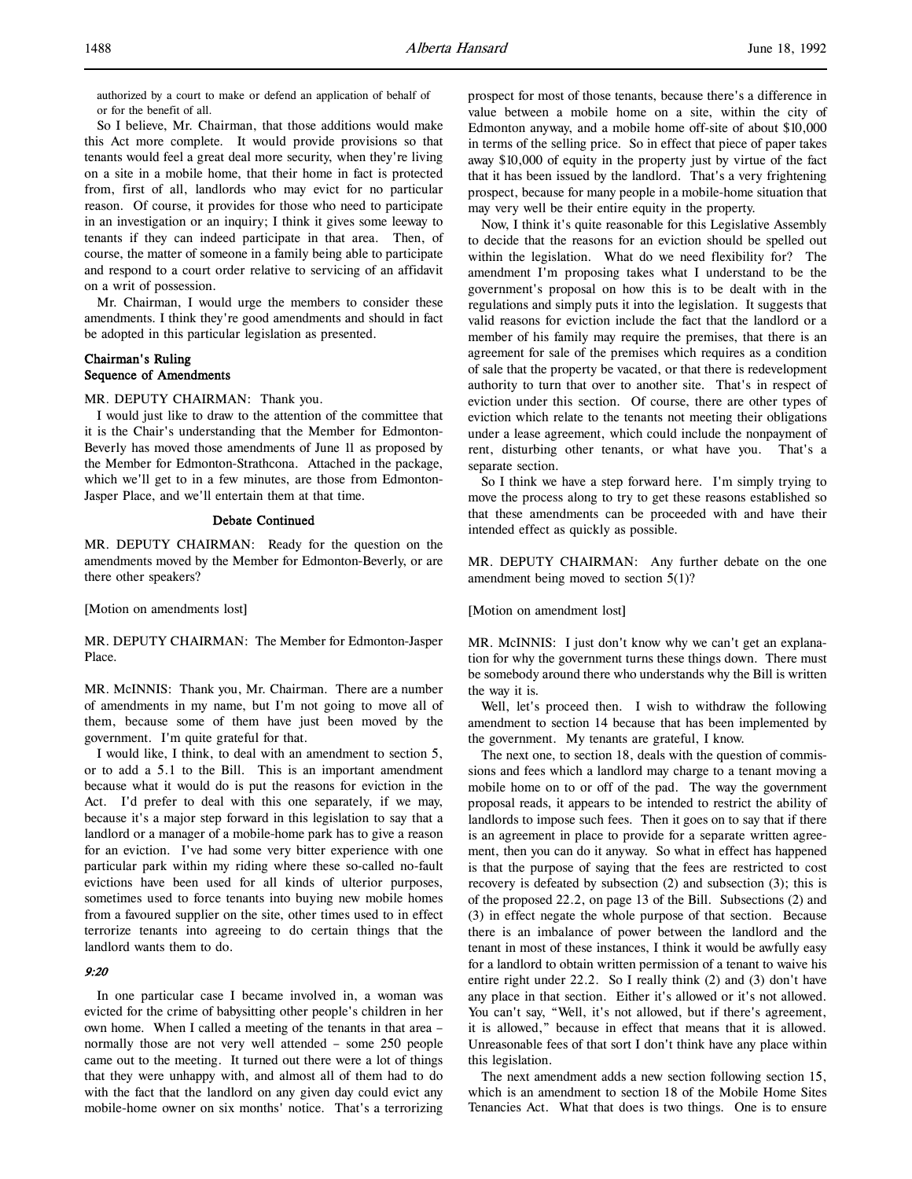So I believe, Mr. Chairman, that those additions would make this Act more complete. It would provide provisions so that tenants would feel a great deal more security, when they're living on a site in a mobile home, that their home in fact is protected from, first of all, landlords who may evict for no particular reason. Of course, it provides for those who need to participate in an investigation or an inquiry; I think it gives some leeway to tenants if they can indeed participate in that area. Then, of course, the matter of someone in a family being able to participate and respond to a court order relative to servicing of an affidavit on a writ of possession.

Mr. Chairman, I would urge the members to consider these amendments. I think they're good amendments and should in fact be adopted in this particular legislation as presented.

## Chairman's Ruling Sequence of Amendments

MR. DEPUTY CHAIRMAN: Thank you.

I would just like to draw to the attention of the committee that it is the Chair's understanding that the Member for Edmonton-Beverly has moved those amendments of June 11 as proposed by the Member for Edmonton-Strathcona. Attached in the package, which we'll get to in a few minutes, are those from Edmonton-Jasper Place, and we'll entertain them at that time.

### Debate Continued

MR. DEPUTY CHAIRMAN: Ready for the question on the amendments moved by the Member for Edmonton-Beverly, or are there other speakers?

[Motion on amendments lost]

MR. DEPUTY CHAIRMAN: The Member for Edmonton-Jasper Place.

MR. McINNIS: Thank you, Mr. Chairman. There are a number of amendments in my name, but I'm not going to move all of them, because some of them have just been moved by the government. I'm quite grateful for that.

I would like, I think, to deal with an amendment to section 5, or to add a 5.1 to the Bill. This is an important amendment because what it would do is put the reasons for eviction in the Act. I'd prefer to deal with this one separately, if we may, because it's a major step forward in this legislation to say that a landlord or a manager of a mobile-home park has to give a reason for an eviction. I've had some very bitter experience with one particular park within my riding where these so-called no-fault evictions have been used for all kinds of ulterior purposes, sometimes used to force tenants into buying new mobile homes from a favoured supplier on the site, other times used to in effect terrorize tenants into agreeing to do certain things that the landlord wants them to do.

## 9:20

In one particular case I became involved in, a woman was evicted for the crime of babysitting other people's children in her own home. When I called a meeting of the tenants in that area – normally those are not very well attended – some 250 people came out to the meeting. It turned out there were a lot of things that they were unhappy with, and almost all of them had to do with the fact that the landlord on any given day could evict any mobile-home owner on six months' notice. That's a terrorizing

prospect for most of those tenants, because there's a difference in value between a mobile home on a site, within the city of Edmonton anyway, and a mobile home off-site of about \$10,000 in terms of the selling price. So in effect that piece of paper takes away \$10,000 of equity in the property just by virtue of the fact that it has been issued by the landlord. That's a very frightening prospect, because for many people in a mobile-home situation that may very well be their entire equity in the property.

Now, I think it's quite reasonable for this Legislative Assembly to decide that the reasons for an eviction should be spelled out within the legislation. What do we need flexibility for? The amendment I'm proposing takes what I understand to be the government's proposal on how this is to be dealt with in the regulations and simply puts it into the legislation. It suggests that valid reasons for eviction include the fact that the landlord or a member of his family may require the premises, that there is an agreement for sale of the premises which requires as a condition of sale that the property be vacated, or that there is redevelopment authority to turn that over to another site. That's in respect of eviction under this section. Of course, there are other types of eviction which relate to the tenants not meeting their obligations under a lease agreement, which could include the nonpayment of rent, disturbing other tenants, or what have you. That's a separate section.

So I think we have a step forward here. I'm simply trying to move the process along to try to get these reasons established so that these amendments can be proceeded with and have their intended effect as quickly as possible.

MR. DEPUTY CHAIRMAN: Any further debate on the one amendment being moved to section 5(1)?

#### [Motion on amendment lost]

MR. McINNIS: I just don't know why we can't get an explanation for why the government turns these things down. There must be somebody around there who understands why the Bill is written the way it is.

Well, let's proceed then. I wish to withdraw the following amendment to section 14 because that has been implemented by the government. My tenants are grateful, I know.

The next one, to section 18, deals with the question of commissions and fees which a landlord may charge to a tenant moving a mobile home on to or off of the pad. The way the government proposal reads, it appears to be intended to restrict the ability of landlords to impose such fees. Then it goes on to say that if there is an agreement in place to provide for a separate written agreement, then you can do it anyway. So what in effect has happened is that the purpose of saying that the fees are restricted to cost recovery is defeated by subsection (2) and subsection (3); this is of the proposed 22.2, on page 13 of the Bill. Subsections (2) and (3) in effect negate the whole purpose of that section. Because there is an imbalance of power between the landlord and the tenant in most of these instances, I think it would be awfully easy for a landlord to obtain written permission of a tenant to waive his entire right under 22.2. So I really think (2) and (3) don't have any place in that section. Either it's allowed or it's not allowed. You can't say, "Well, it's not allowed, but if there's agreement, it is allowed," because in effect that means that it is allowed. Unreasonable fees of that sort I don't think have any place within this legislation.

The next amendment adds a new section following section 15, which is an amendment to section 18 of the Mobile Home Sites Tenancies Act. What that does is two things. One is to ensure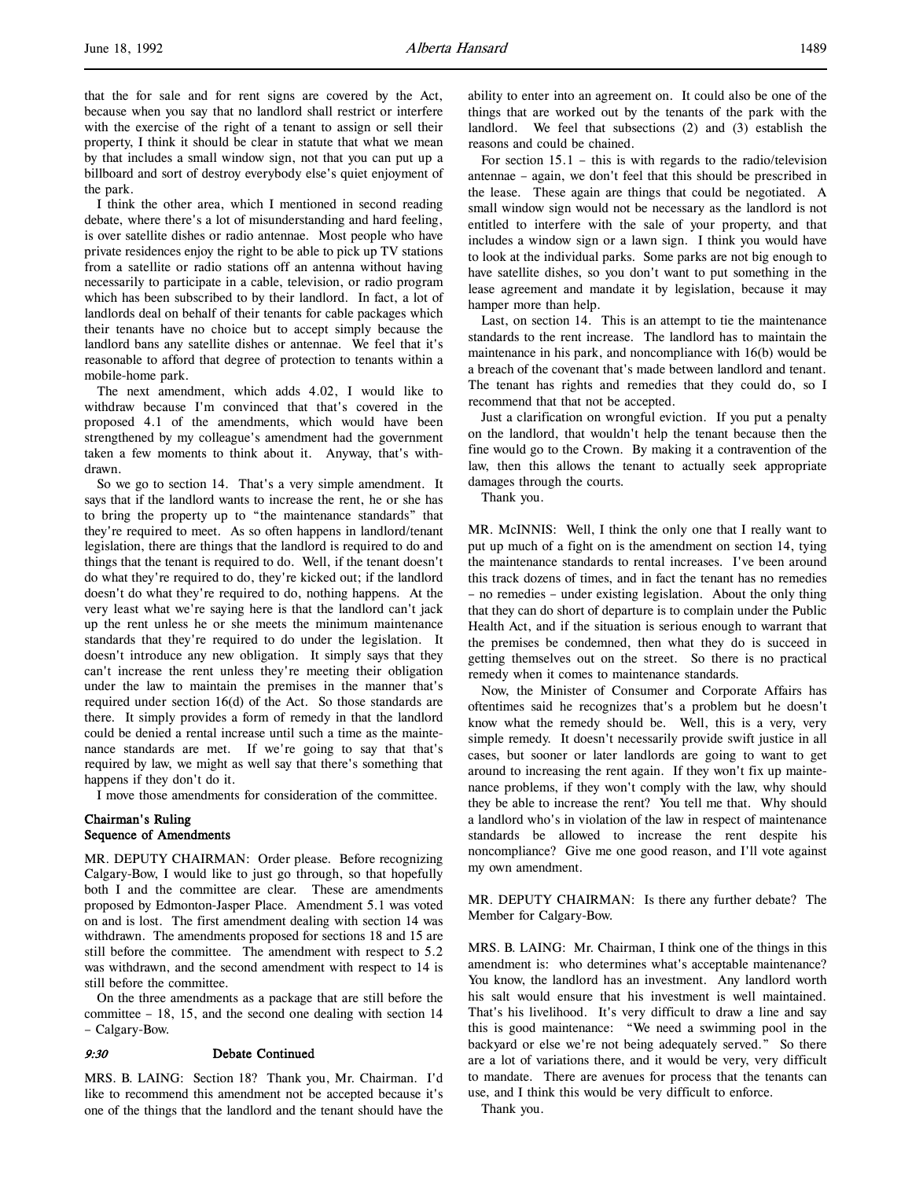that the for sale and for rent signs are covered by the Act, because when you say that no landlord shall restrict or interfere with the exercise of the right of a tenant to assign or sell their property, I think it should be clear in statute that what we mean by that includes a small window sign, not that you can put up a billboard and sort of destroy everybody else's quiet enjoyment of the park.

I think the other area, which I mentioned in second reading debate, where there's a lot of misunderstanding and hard feeling, is over satellite dishes or radio antennae. Most people who have private residences enjoy the right to be able to pick up TV stations from a satellite or radio stations off an antenna without having necessarily to participate in a cable, television, or radio program which has been subscribed to by their landlord. In fact, a lot of landlords deal on behalf of their tenants for cable packages which their tenants have no choice but to accept simply because the landlord bans any satellite dishes or antennae. We feel that it's reasonable to afford that degree of protection to tenants within a mobile-home park.

The next amendment, which adds 4.02, I would like to withdraw because I'm convinced that that's covered in the proposed 4.1 of the amendments, which would have been strengthened by my colleague's amendment had the government taken a few moments to think about it. Anyway, that's withdrawn.

So we go to section 14. That's a very simple amendment. It says that if the landlord wants to increase the rent, he or she has to bring the property up to "the maintenance standards" that they're required to meet. As so often happens in landlord/tenant legislation, there are things that the landlord is required to do and things that the tenant is required to do. Well, if the tenant doesn't do what they're required to do, they're kicked out; if the landlord doesn't do what they're required to do, nothing happens. At the very least what we're saying here is that the landlord can't jack up the rent unless he or she meets the minimum maintenance standards that they're required to do under the legislation. It doesn't introduce any new obligation. It simply says that they can't increase the rent unless they're meeting their obligation under the law to maintain the premises in the manner that's required under section 16(d) of the Act. So those standards are there. It simply provides a form of remedy in that the landlord could be denied a rental increase until such a time as the maintenance standards are met. If we're going to say that that's required by law, we might as well say that there's something that happens if they don't do it.

I move those amendments for consideration of the committee.

## Chairman's Ruling Sequence of Amendments

MR. DEPUTY CHAIRMAN: Order please. Before recognizing Calgary-Bow, I would like to just go through, so that hopefully both I and the committee are clear. These are amendments proposed by Edmonton-Jasper Place. Amendment 5.1 was voted on and is lost. The first amendment dealing with section 14 was withdrawn. The amendments proposed for sections 18 and 15 are still before the committee. The amendment with respect to 5.2 was withdrawn, and the second amendment with respect to 14 is still before the committee.

On the three amendments as a package that are still before the committee – 18, 15, and the second one dealing with section 14 – Calgary-Bow.

### 9:30 Debate Continued

MRS. B. LAING: Section 18? Thank you, Mr. Chairman. I'd like to recommend this amendment not be accepted because it's one of the things that the landlord and the tenant should have the

ability to enter into an agreement on. It could also be one of the things that are worked out by the tenants of the park with the landlord. We feel that subsections (2) and (3) establish the reasons and could be chained.

For section  $15.1$  – this is with regards to the radio/television antennae – again, we don't feel that this should be prescribed in the lease. These again are things that could be negotiated. A small window sign would not be necessary as the landlord is not entitled to interfere with the sale of your property, and that includes a window sign or a lawn sign. I think you would have to look at the individual parks. Some parks are not big enough to have satellite dishes, so you don't want to put something in the lease agreement and mandate it by legislation, because it may hamper more than help.

Last, on section 14. This is an attempt to tie the maintenance standards to the rent increase. The landlord has to maintain the maintenance in his park, and noncompliance with 16(b) would be a breach of the covenant that's made between landlord and tenant. The tenant has rights and remedies that they could do, so I recommend that that not be accepted.

Just a clarification on wrongful eviction. If you put a penalty on the landlord, that wouldn't help the tenant because then the fine would go to the Crown. By making it a contravention of the law, then this allows the tenant to actually seek appropriate damages through the courts.

Thank you.

MR. McINNIS: Well, I think the only one that I really want to put up much of a fight on is the amendment on section 14, tying the maintenance standards to rental increases. I've been around this track dozens of times, and in fact the tenant has no remedies – no remedies – under existing legislation. About the only thing that they can do short of departure is to complain under the Public Health Act, and if the situation is serious enough to warrant that the premises be condemned, then what they do is succeed in getting themselves out on the street. So there is no practical remedy when it comes to maintenance standards.

Now, the Minister of Consumer and Corporate Affairs has oftentimes said he recognizes that's a problem but he doesn't know what the remedy should be. Well, this is a very, very simple remedy. It doesn't necessarily provide swift justice in all cases, but sooner or later landlords are going to want to get around to increasing the rent again. If they won't fix up maintenance problems, if they won't comply with the law, why should they be able to increase the rent? You tell me that. Why should a landlord who's in violation of the law in respect of maintenance standards be allowed to increase the rent despite his noncompliance? Give me one good reason, and I'll vote against my own amendment.

MR. DEPUTY CHAIRMAN: Is there any further debate? The Member for Calgary-Bow.

MRS. B. LAING: Mr. Chairman, I think one of the things in this amendment is: who determines what's acceptable maintenance? You know, the landlord has an investment. Any landlord worth his salt would ensure that his investment is well maintained. That's his livelihood. It's very difficult to draw a line and say this is good maintenance: "We need a swimming pool in the backyard or else we're not being adequately served." So there are a lot of variations there, and it would be very, very difficult to mandate. There are avenues for process that the tenants can use, and I think this would be very difficult to enforce.

Thank you.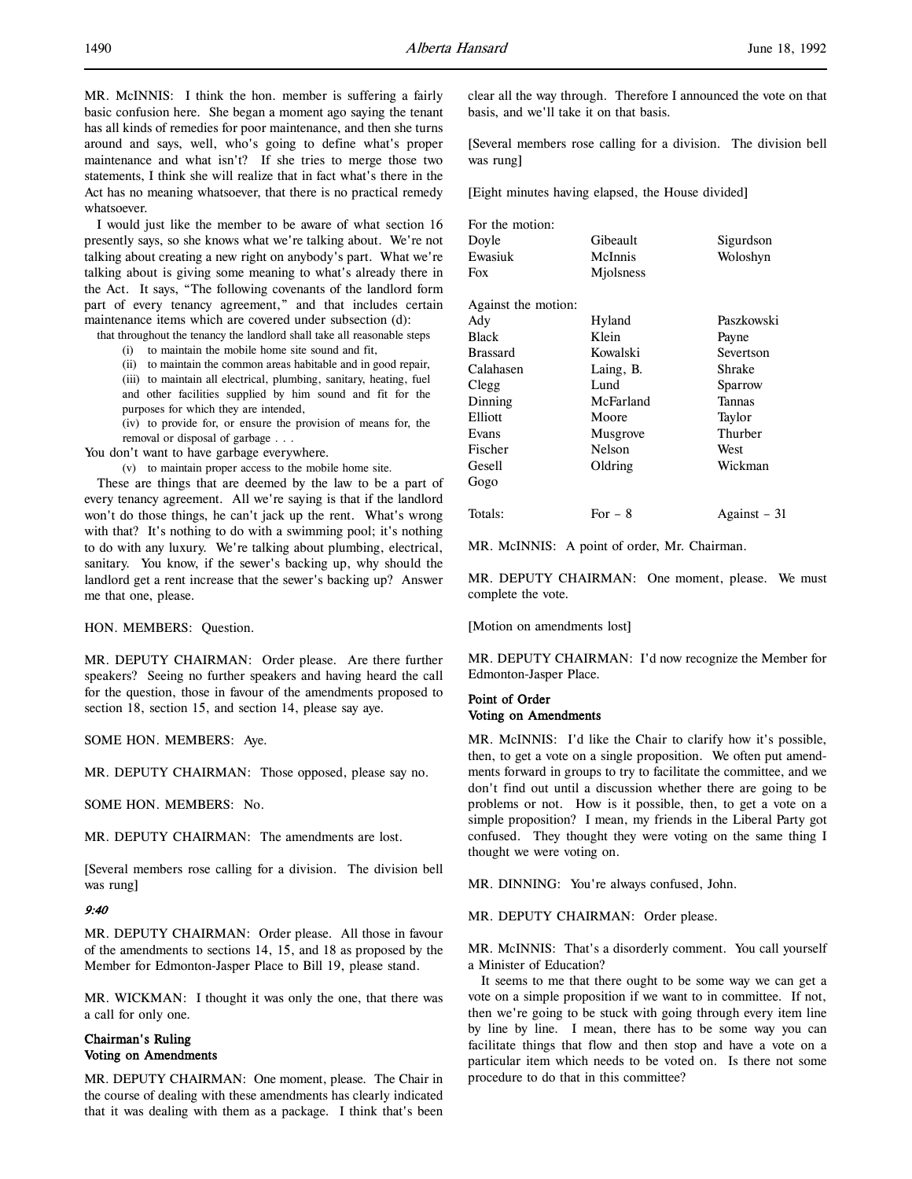MR. McINNIS: I think the hon. member is suffering a fairly basic confusion here. She began a moment ago saying the tenant has all kinds of remedies for poor maintenance, and then she turns around and says, well, who's going to define what's proper maintenance and what isn't? If she tries to merge those two statements, I think she will realize that in fact what's there in the Act has no meaning whatsoever, that there is no practical remedy whatsoever.

I would just like the member to be aware of what section 16 presently says, so she knows what we're talking about. We're not talking about creating a new right on anybody's part. What we're talking about is giving some meaning to what's already there in the Act. It says, "The following covenants of the landlord form part of every tenancy agreement," and that includes certain maintenance items which are covered under subsection (d):

that throughout the tenancy the landlord shall take all reasonable steps

(i) to maintain the mobile home site sound and fit,

(ii) to maintain the common areas habitable and in good repair,

(iii) to maintain all electrical, plumbing, sanitary, heating, fuel and other facilities supplied by him sound and fit for the purposes for which they are intended,

(iv) to provide for, or ensure the provision of means for, the removal or disposal of garbage . . .

You don't want to have garbage everywhere.

(v) to maintain proper access to the mobile home site.

These are things that are deemed by the law to be a part of every tenancy agreement. All we're saying is that if the landlord won't do those things, he can't jack up the rent. What's wrong with that? It's nothing to do with a swimming pool; it's nothing to do with any luxury. We're talking about plumbing, electrical, sanitary. You know, if the sewer's backing up, why should the landlord get a rent increase that the sewer's backing up? Answer me that one, please.

HON. MEMBERS: Question.

MR. DEPUTY CHAIRMAN: Order please. Are there further speakers? Seeing no further speakers and having heard the call for the question, those in favour of the amendments proposed to section 18, section 15, and section 14, please say aye.

SOME HON. MEMBERS: Aye.

MR. DEPUTY CHAIRMAN: Those opposed, please say no.

SOME HON. MEMBERS: No.

MR. DEPUTY CHAIRMAN: The amendments are lost.

[Several members rose calling for a division. The division bell was rung]

### 9:40

MR. DEPUTY CHAIRMAN: Order please. All those in favour of the amendments to sections 14, 15, and 18 as proposed by the Member for Edmonton-Jasper Place to Bill 19, please stand.

MR. WICKMAN: I thought it was only the one, that there was a call for only one.

# Chairman's Ruling Voting on Amendments

MR. DEPUTY CHAIRMAN: One moment, please. The Chair in the course of dealing with these amendments has clearly indicated that it was dealing with them as a package. I think that's been

clear all the way through. Therefore I announced the vote on that basis, and we'll take it on that basis.

[Several members rose calling for a division. The division bell was rung]

[Eight minutes having elapsed, the House divided]

| For the motion:     |           |              |
|---------------------|-----------|--------------|
| Doyle               | Gibeault  | Sigurdson    |
| Ewasiuk             | McInnis   | Woloshyn     |
| Fox                 | Miolsness |              |
| Against the motion: |           |              |
| Ady                 | Hyland    | Paszkowski   |
| <b>Black</b>        | Klein     | Payne        |
| <b>Brassard</b>     | Kowalski  | Severtson    |
| Calahasen           | Laing, B. | Shrake       |
| Clegg               | Lund      | Sparrow      |
| Dinning             | McFarland | Tannas       |
| Elliott             | Moore     | Taylor       |
| Evans               | Musgrove  | Thurber      |
| Fischer             | Nelson    | West         |
| Gesell              | Oldring   | Wickman      |
| Gogo                |           |              |
| Totals:             | For $-8$  | Against – 31 |

MR. McINNIS: A point of order, Mr. Chairman.

MR. DEPUTY CHAIRMAN: One moment, please. We must complete the vote.

[Motion on amendments lost]

MR. DEPUTY CHAIRMAN: I'd now recognize the Member for Edmonton-Jasper Place.

### Point of Order Voting on Amendments

MR. McINNIS: I'd like the Chair to clarify how it's possible, then, to get a vote on a single proposition. We often put amendments forward in groups to try to facilitate the committee, and we don't find out until a discussion whether there are going to be problems or not. How is it possible, then, to get a vote on a simple proposition? I mean, my friends in the Liberal Party got confused. They thought they were voting on the same thing I thought we were voting on.

MR. DINNING: You're always confused, John.

MR. DEPUTY CHAIRMAN: Order please.

MR. McINNIS: That's a disorderly comment. You call yourself a Minister of Education?

It seems to me that there ought to be some way we can get a vote on a simple proposition if we want to in committee. If not, then we're going to be stuck with going through every item line by line by line. I mean, there has to be some way you can facilitate things that flow and then stop and have a vote on a particular item which needs to be voted on. Is there not some procedure to do that in this committee?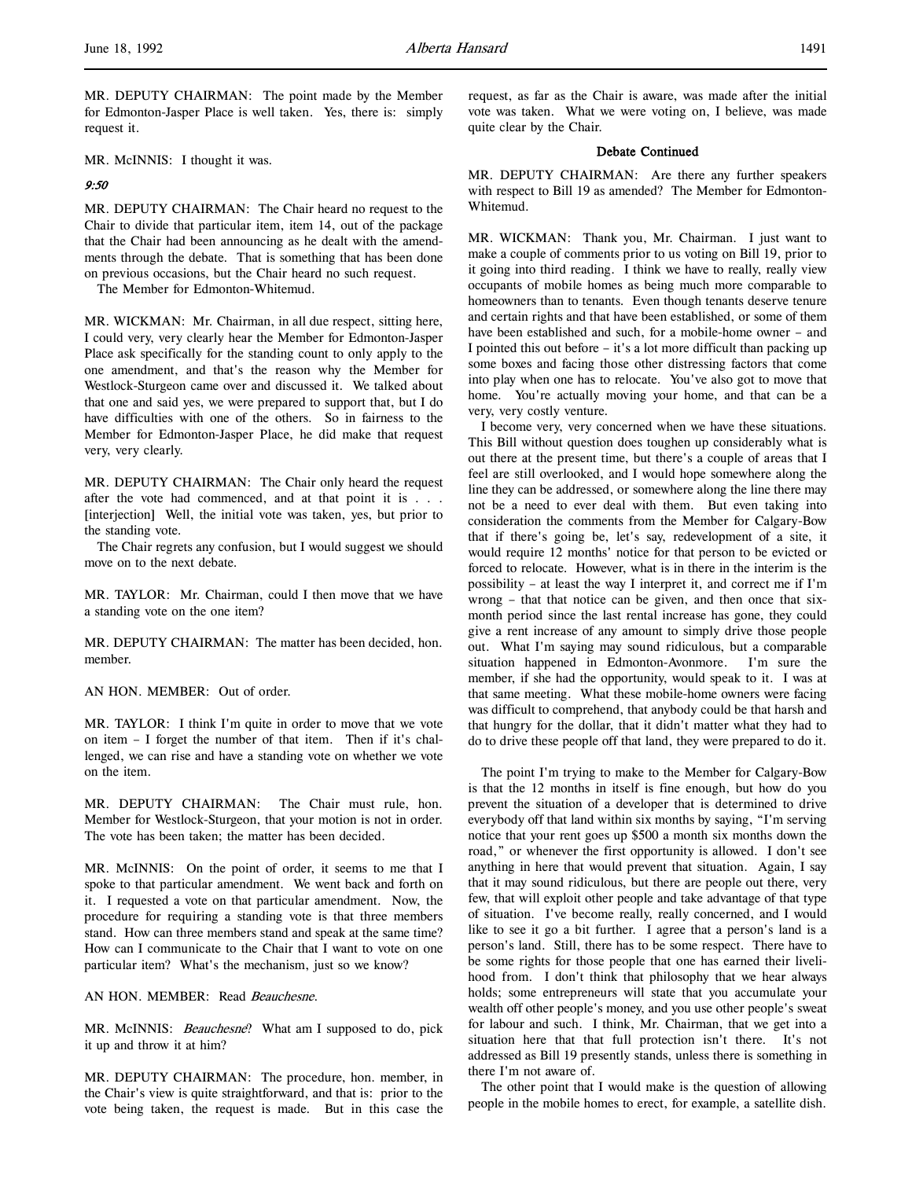MR. DEPUTY CHAIRMAN: The point made by the Member for Edmonton-Jasper Place is well taken. Yes, there is: simply request it.

MR. McINNIS: I thought it was.

### 9:50

MR. DEPUTY CHAIRMAN: The Chair heard no request to the Chair to divide that particular item, item 14, out of the package that the Chair had been announcing as he dealt with the amendments through the debate. That is something that has been done on previous occasions, but the Chair heard no such request.

The Member for Edmonton-Whitemud.

MR. WICKMAN: Mr. Chairman, in all due respect, sitting here, I could very, very clearly hear the Member for Edmonton-Jasper Place ask specifically for the standing count to only apply to the one amendment, and that's the reason why the Member for Westlock-Sturgeon came over and discussed it. We talked about that one and said yes, we were prepared to support that, but I do have difficulties with one of the others. So in fairness to the Member for Edmonton-Jasper Place, he did make that request very, very clearly.

MR. DEPUTY CHAIRMAN: The Chair only heard the request after the vote had commenced, and at that point it is . . . [interjection] Well, the initial vote was taken, yes, but prior to the standing vote.

The Chair regrets any confusion, but I would suggest we should move on to the next debate.

MR. TAYLOR: Mr. Chairman, could I then move that we have a standing vote on the one item?

MR. DEPUTY CHAIRMAN: The matter has been decided, hon. member.

AN HON. MEMBER: Out of order.

MR. TAYLOR: I think I'm quite in order to move that we vote on item – I forget the number of that item. Then if it's challenged, we can rise and have a standing vote on whether we vote on the item.

MR. DEPUTY CHAIRMAN: The Chair must rule, hon. Member for Westlock-Sturgeon, that your motion is not in order. The vote has been taken; the matter has been decided.

MR. McINNIS: On the point of order, it seems to me that I spoke to that particular amendment. We went back and forth on it. I requested a vote on that particular amendment. Now, the procedure for requiring a standing vote is that three members stand. How can three members stand and speak at the same time? How can I communicate to the Chair that I want to vote on one particular item? What's the mechanism, just so we know?

AN HON. MEMBER: Read Beauchesne.

MR. McINNIS: Beauchesne? What am I supposed to do, pick it up and throw it at him?

MR. DEPUTY CHAIRMAN: The procedure, hon. member, in the Chair's view is quite straightforward, and that is: prior to the vote being taken, the request is made. But in this case the

request, as far as the Chair is aware, was made after the initial vote was taken. What we were voting on, I believe, was made quite clear by the Chair.

### Debate Continued

MR. DEPUTY CHAIRMAN: Are there any further speakers with respect to Bill 19 as amended? The Member for Edmonton-Whitemud.

MR. WICKMAN: Thank you, Mr. Chairman. I just want to make a couple of comments prior to us voting on Bill 19, prior to it going into third reading. I think we have to really, really view occupants of mobile homes as being much more comparable to homeowners than to tenants. Even though tenants deserve tenure and certain rights and that have been established, or some of them have been established and such, for a mobile-home owner – and I pointed this out before – it's a lot more difficult than packing up some boxes and facing those other distressing factors that come into play when one has to relocate. You've also got to move that home. You're actually moving your home, and that can be a very, very costly venture.

I become very, very concerned when we have these situations. This Bill without question does toughen up considerably what is out there at the present time, but there's a couple of areas that I feel are still overlooked, and I would hope somewhere along the line they can be addressed, or somewhere along the line there may not be a need to ever deal with them. But even taking into consideration the comments from the Member for Calgary-Bow that if there's going be, let's say, redevelopment of a site, it would require 12 months' notice for that person to be evicted or forced to relocate. However, what is in there in the interim is the possibility – at least the way I interpret it, and correct me if I'm wrong – that that notice can be given, and then once that sixmonth period since the last rental increase has gone, they could give a rent increase of any amount to simply drive those people out. What I'm saying may sound ridiculous, but a comparable situation happened in Edmonton-Avonmore. I'm sure the member, if she had the opportunity, would speak to it. I was at that same meeting. What these mobile-home owners were facing was difficult to comprehend, that anybody could be that harsh and that hungry for the dollar, that it didn't matter what they had to do to drive these people off that land, they were prepared to do it.

The point I'm trying to make to the Member for Calgary-Bow is that the 12 months in itself is fine enough, but how do you prevent the situation of a developer that is determined to drive everybody off that land within six months by saying, "I'm serving notice that your rent goes up \$500 a month six months down the road," or whenever the first opportunity is allowed. I don't see anything in here that would prevent that situation. Again, I say that it may sound ridiculous, but there are people out there, very few, that will exploit other people and take advantage of that type of situation. I've become really, really concerned, and I would like to see it go a bit further. I agree that a person's land is a person's land. Still, there has to be some respect. There have to be some rights for those people that one has earned their livelihood from. I don't think that philosophy that we hear always holds; some entrepreneurs will state that you accumulate your wealth off other people's money, and you use other people's sweat for labour and such. I think, Mr. Chairman, that we get into a situation here that that full protection isn't there. It's not addressed as Bill 19 presently stands, unless there is something in there I'm not aware of.

The other point that I would make is the question of allowing people in the mobile homes to erect, for example, a satellite dish.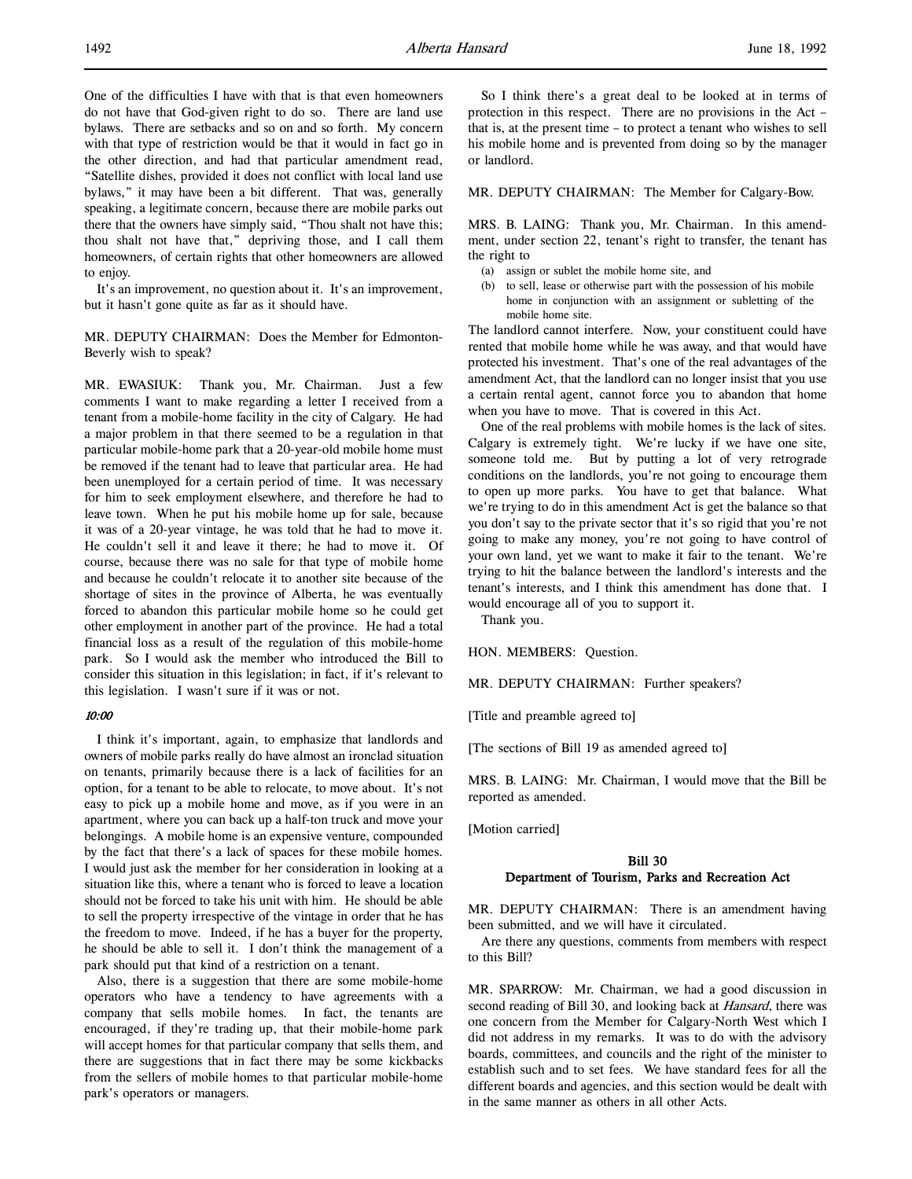One of the difficulties I have with that is that even homeowners do not have that God-given right to do so. There are land use bylaws. There are setbacks and so on and so forth. My concern with that type of restriction would be that it would in fact go in the other direction, and had that particular amendment read, "Satellite dishes, provided it does not conflict with local land use bylaws," it may have been a bit different. That was, generally speaking, a legitimate concern, because there are mobile parks out there that the owners have simply said, "Thou shalt not have this; thou shalt not have that," depriving those, and I call them homeowners, of certain rights that other homeowners are allowed to enjoy.

It's an improvement, no question about it. It's an improvement, but it hasn't gone quite as far as it should have.

MR. DEPUTY CHAIRMAN: Does the Member for Edmonton-Beverly wish to speak?

MR. EWASIUK: Thank you, Mr. Chairman. Just a few comments I want to make regarding a letter I received from a tenant from a mobile-home facility in the city of Calgary. He had a major problem in that there seemed to be a regulation in that particular mobile-home park that a 20-year-old mobile home must be removed if the tenant had to leave that particular area. He had been unemployed for a certain period of time. It was necessary for him to seek employment elsewhere, and therefore he had to leave town. When he put his mobile home up for sale, because it was of a 20-year vintage, he was told that he had to move it. He couldn't sell it and leave it there; he had to move it. Of course, because there was no sale for that type of mobile home and because he couldn't relocate it to another site because of the shortage of sites in the province of Alberta, he was eventually forced to abandon this particular mobile home so he could get other employment in another part of the province. He had a total financial loss as a result of the regulation of this mobile-home park. So I would ask the member who introduced the Bill to consider this situation in this legislation; in fact, if it's relevant to this legislation. I wasn't sure if it was or not.

#### 10:00

I think it's important, again, to emphasize that landlords and owners of mobile parks really do have almost an ironclad situation on tenants, primarily because there is a lack of facilities for an option, for a tenant to be able to relocate, to move about. It's not easy to pick up a mobile home and move, as if you were in an apartment, where you can back up a half-ton truck and move your belongings. A mobile home is an expensive venture, compounded by the fact that there's a lack of spaces for these mobile homes. I would just ask the member for her consideration in looking at a situation like this, where a tenant who is forced to leave a location should not be forced to take his unit with him. He should be able to sell the property irrespective of the vintage in order that he has the freedom to move. Indeed, if he has a buyer for the property, he should be able to sell it. I don't think the management of a park should put that kind of a restriction on a tenant.

Also, there is a suggestion that there are some mobile-home operators who have a tendency to have agreements with a company that sells mobile homes. In fact, the tenants are encouraged, if they're trading up, that their mobile-home park will accept homes for that particular company that sells them, and there are suggestions that in fact there may be some kickbacks from the sellers of mobile homes to that particular mobile-home park's operators or managers.

So I think there's a great deal to be looked at in terms of protection in this respect. There are no provisions in the Act – that is, at the present time – to protect a tenant who wishes to sell his mobile home and is prevented from doing so by the manager or landlord.

#### MR. DEPUTY CHAIRMAN: The Member for Calgary-Bow.

MRS. B. LAING: Thank you, Mr. Chairman. In this amendment, under section 22, tenant's right to transfer, the tenant has the right to

- (a) assign or sublet the mobile home site, and
- (b) to sell, lease or otherwise part with the possession of his mobile home in conjunction with an assignment or subletting of the mobile home site.

The landlord cannot interfere. Now, your constituent could have rented that mobile home while he was away, and that would have protected his investment. That's one of the real advantages of the amendment Act, that the landlord can no longer insist that you use a certain rental agent, cannot force you to abandon that home when you have to move. That is covered in this Act.

One of the real problems with mobile homes is the lack of sites. Calgary is extremely tight. We're lucky if we have one site, someone told me. But by putting a lot of very retrograde conditions on the landlords, you're not going to encourage them to open up more parks. You have to get that balance. What we're trying to do in this amendment Act is get the balance so that you don't say to the private sector that it's so rigid that you're not going to make any money, you're not going to have control of your own land, yet we want to make it fair to the tenant. We're trying to hit the balance between the landlord's interests and the tenant's interests, and I think this amendment has done that. I would encourage all of you to support it.

Thank you.

HON. MEMBERS: Question.

MR. DEPUTY CHAIRMAN: Further speakers?

[Title and preamble agreed to]

[The sections of Bill 19 as amended agreed to]

MRS. B. LAING: Mr. Chairman, I would move that the Bill be reported as amended.

[Motion carried]

## Bill 30 Department of Tourism, Parks and Recreation Act

MR. DEPUTY CHAIRMAN: There is an amendment having been submitted, and we will have it circulated.

Are there any questions, comments from members with respect to this Bill?

MR. SPARROW: Mr. Chairman, we had a good discussion in second reading of Bill 30, and looking back at *Hansard*, there was one concern from the Member for Calgary-North West which I did not address in my remarks. It was to do with the advisory boards, committees, and councils and the right of the minister to establish such and to set fees. We have standard fees for all the different boards and agencies, and this section would be dealt with in the same manner as others in all other Acts.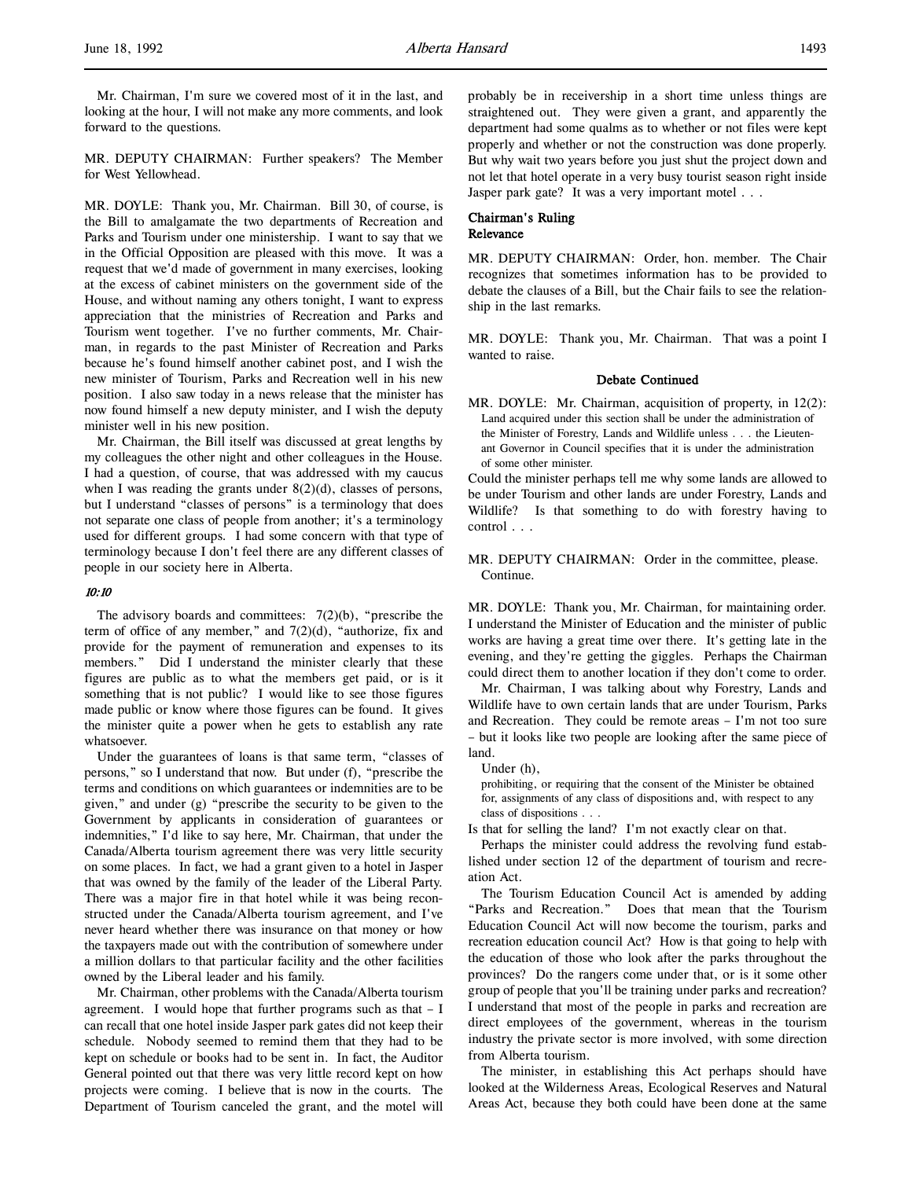Mr. Chairman, I'm sure we covered most of it in the last, and looking at the hour, I will not make any more comments, and look forward to the questions.

MR. DEPUTY CHAIRMAN: Further speakers? The Member for West Yellowhead.

MR. DOYLE: Thank you, Mr. Chairman. Bill 30, of course, is the Bill to amalgamate the two departments of Recreation and Parks and Tourism under one ministership. I want to say that we in the Official Opposition are pleased with this move. It was a request that we'd made of government in many exercises, looking at the excess of cabinet ministers on the government side of the House, and without naming any others tonight, I want to express appreciation that the ministries of Recreation and Parks and Tourism went together. I've no further comments, Mr. Chairman, in regards to the past Minister of Recreation and Parks because he's found himself another cabinet post, and I wish the new minister of Tourism, Parks and Recreation well in his new position. I also saw today in a news release that the minister has now found himself a new deputy minister, and I wish the deputy minister well in his new position.

Mr. Chairman, the Bill itself was discussed at great lengths by my colleagues the other night and other colleagues in the House. I had a question, of course, that was addressed with my caucus when I was reading the grants under  $8(2)(d)$ , classes of persons, but I understand "classes of persons" is a terminology that does not separate one class of people from another; it's a terminology used for different groups. I had some concern with that type of terminology because I don't feel there are any different classes of people in our society here in Alberta.

### 10:10

The advisory boards and committees:  $7(2)(b)$ , "prescribe the term of office of any member," and  $7(2)(d)$ , "authorize, fix and provide for the payment of remuneration and expenses to its members." Did I understand the minister clearly that these figures are public as to what the members get paid, or is it something that is not public? I would like to see those figures made public or know where those figures can be found. It gives the minister quite a power when he gets to establish any rate whatsoever.

Under the guarantees of loans is that same term, "classes of persons," so I understand that now. But under (f), "prescribe the terms and conditions on which guarantees or indemnities are to be given," and under (g) "prescribe the security to be given to the Government by applicants in consideration of guarantees or indemnities," I'd like to say here, Mr. Chairman, that under the Canada/Alberta tourism agreement there was very little security on some places. In fact, we had a grant given to a hotel in Jasper that was owned by the family of the leader of the Liberal Party. There was a major fire in that hotel while it was being reconstructed under the Canada/Alberta tourism agreement, and I've never heard whether there was insurance on that money or how the taxpayers made out with the contribution of somewhere under a million dollars to that particular facility and the other facilities owned by the Liberal leader and his family.

Mr. Chairman, other problems with the Canada/Alberta tourism agreement. I would hope that further programs such as that – I can recall that one hotel inside Jasper park gates did not keep their schedule. Nobody seemed to remind them that they had to be kept on schedule or books had to be sent in. In fact, the Auditor General pointed out that there was very little record kept on how projects were coming. I believe that is now in the courts. The Department of Tourism canceled the grant, and the motel will

probably be in receivership in a short time unless things are straightened out. They were given a grant, and apparently the department had some qualms as to whether or not files were kept properly and whether or not the construction was done properly. But why wait two years before you just shut the project down and not let that hotel operate in a very busy tourist season right inside Jasper park gate? It was a very important motel . . .

## Chairman's Ruling Relevance

MR. DEPUTY CHAIRMAN: Order, hon. member. The Chair recognizes that sometimes information has to be provided to debate the clauses of a Bill, but the Chair fails to see the relationship in the last remarks.

MR. DOYLE: Thank you, Mr. Chairman. That was a point I wanted to raise.

### Debate Continued

MR. DOYLE: Mr. Chairman, acquisition of property, in 12(2): Land acquired under this section shall be under the administration of the Minister of Forestry, Lands and Wildlife unless . . . the Lieutenant Governor in Council specifies that it is under the administration of some other minister.

Could the minister perhaps tell me why some lands are allowed to be under Tourism and other lands are under Forestry, Lands and Wildlife? Is that something to do with forestry having to control . . .

MR. DEPUTY CHAIRMAN: Order in the committee, please. Continue.

MR. DOYLE: Thank you, Mr. Chairman, for maintaining order. I understand the Minister of Education and the minister of public works are having a great time over there. It's getting late in the evening, and they're getting the giggles. Perhaps the Chairman could direct them to another location if they don't come to order.

Mr. Chairman, I was talking about why Forestry, Lands and Wildlife have to own certain lands that are under Tourism, Parks and Recreation. They could be remote areas – I'm not too sure – but it looks like two people are looking after the same piece of land.

Under (h),

prohibiting, or requiring that the consent of the Minister be obtained for, assignments of any class of dispositions and, with respect to any class of dispositions . . .

Is that for selling the land? I'm not exactly clear on that.

Perhaps the minister could address the revolving fund established under section 12 of the department of tourism and recreation Act.

The Tourism Education Council Act is amended by adding "Parks and Recreation." Does that mean that the Tourism Education Council Act will now become the tourism, parks and recreation education council Act? How is that going to help with the education of those who look after the parks throughout the provinces? Do the rangers come under that, or is it some other group of people that you'll be training under parks and recreation? I understand that most of the people in parks and recreation are direct employees of the government, whereas in the tourism industry the private sector is more involved, with some direction from Alberta tourism.

The minister, in establishing this Act perhaps should have looked at the Wilderness Areas, Ecological Reserves and Natural Areas Act, because they both could have been done at the same